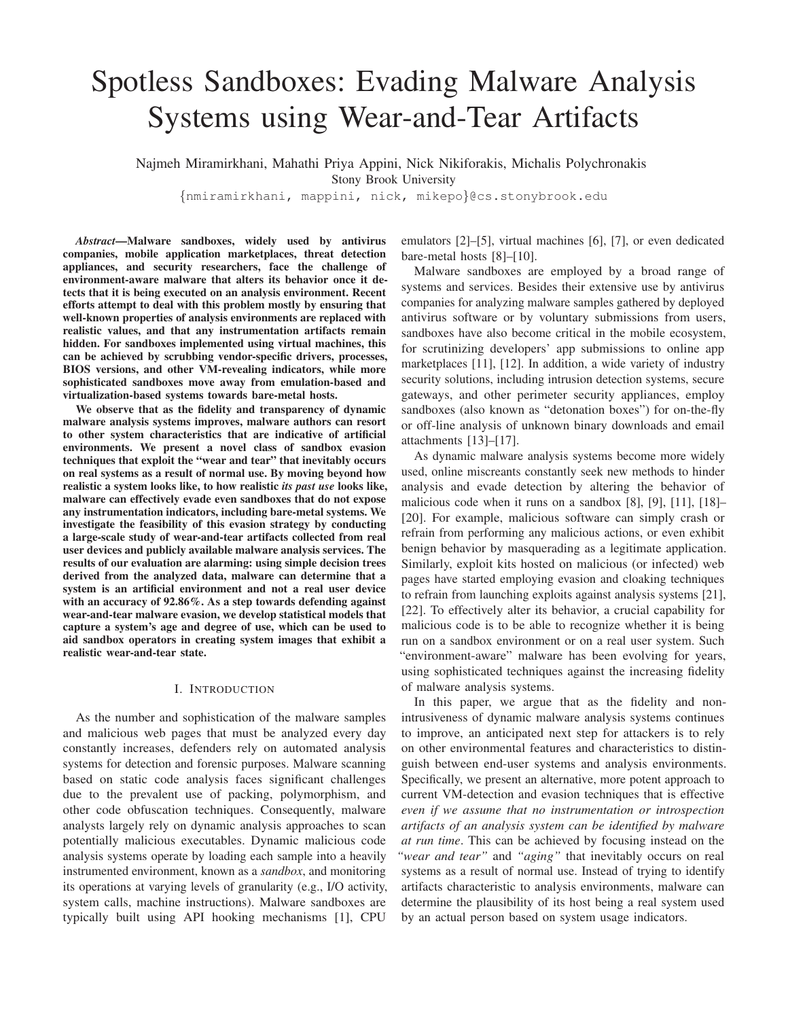# Spotless Sandboxes: Evading Malware Analysis Systems using Wear-and-Tear Artifacts

Najmeh Miramirkhani, Mahathi Priya Appini, Nick Nikiforakis, Michalis Polychronakis Stony Brook University {nmiramirkhani, mappini, nick, mikepo}@cs.stonybrook.edu

*Abstract*—Malware sandboxes, widely used by antivirus companies, mobile application marketplaces, threat detection appliances, and security researchers, face the challenge of environment-aware malware that alters its behavior once it detects that it is being executed on an analysis environment. Recent efforts attempt to deal with this problem mostly by ensuring that well-known properties of analysis environments are replaced with realistic values, and that any instrumentation artifacts remain hidden. For sandboxes implemented using virtual machines, this can be achieved by scrubbing vendor-specific drivers, processes, BIOS versions, and other VM-revealing indicators, while more sophisticated sandboxes move away from emulation-based and virtualization-based systems towards bare-metal hosts.

We observe that as the fidelity and transparency of dynamic malware analysis systems improves, malware authors can resort to other system characteristics that are indicative of artificial environments. We present a novel class of sandbox evasion techniques that exploit the "wear and tear" that inevitably occurs on real systems as a result of normal use. By moving beyond how realistic a system looks like, to how realistic *its past use* looks like, malware can effectively evade even sandboxes that do not expose any instrumentation indicators, including bare-metal systems. We investigate the feasibility of this evasion strategy by conducting a large-scale study of wear-and-tear artifacts collected from real user devices and publicly available malware analysis services. The results of our evaluation are alarming: using simple decision trees derived from the analyzed data, malware can determine that a system is an artificial environment and not a real user device with an accuracy of 92.86%. As a step towards defending against wear-and-tear malware evasion, we develop statistical models that capture a system's age and degree of use, which can be used to aid sandbox operators in creating system images that exhibit a realistic wear-and-tear state.

#### I. INTRODUCTION

As the number and sophistication of the malware samples and malicious web pages that must be analyzed every day constantly increases, defenders rely on automated analysis systems for detection and forensic purposes. Malware scanning based on static code analysis faces significant challenges due to the prevalent use of packing, polymorphism, and other code obfuscation techniques. Consequently, malware analysts largely rely on dynamic analysis approaches to scan potentially malicious executables. Dynamic malicious code analysis systems operate by loading each sample into a heavily instrumented environment, known as a *sandbox*, and monitoring its operations at varying levels of granularity (e.g., I/O activity, system calls, machine instructions). Malware sandboxes are typically built using API hooking mechanisms [1], CPU

emulators [2]–[5], virtual machines [6], [7], or even dedicated bare-metal hosts [8]–[10].

Malware sandboxes are employed by a broad range of systems and services. Besides their extensive use by antivirus companies for analyzing malware samples gathered by deployed antivirus software or by voluntary submissions from users, sandboxes have also become critical in the mobile ecosystem, for scrutinizing developers' app submissions to online app marketplaces [11], [12]. In addition, a wide variety of industry security solutions, including intrusion detection systems, secure gateways, and other perimeter security appliances, employ sandboxes (also known as "detonation boxes") for on-the-fly or off-line analysis of unknown binary downloads and email attachments [13]–[17].

As dynamic malware analysis systems become more widely used, online miscreants constantly seek new methods to hinder analysis and evade detection by altering the behavior of malicious code when it runs on a sandbox [8], [9], [11], [18]– [20]. For example, malicious software can simply crash or refrain from performing any malicious actions, or even exhibit benign behavior by masquerading as a legitimate application. Similarly, exploit kits hosted on malicious (or infected) web pages have started employing evasion and cloaking techniques to refrain from launching exploits against analysis systems [21], [22]. To effectively alter its behavior, a crucial capability for malicious code is to be able to recognize whether it is being run on a sandbox environment or on a real user system. Such "environment-aware" malware has been evolving for years, using sophisticated techniques against the increasing fidelity of malware analysis systems.

In this paper, we argue that as the fidelity and nonintrusiveness of dynamic malware analysis systems continues to improve, an anticipated next step for attackers is to rely on other environmental features and characteristics to distinguish between end-user systems and analysis environments. Specifically, we present an alternative, more potent approach to current VM-detection and evasion techniques that is effective *even if we assume that no instrumentation or introspection artifacts of an analysis system can be identified by malware at run time*. This can be achieved by focusing instead on the *"wear and tear"* and *"aging"* that inevitably occurs on real systems as a result of normal use. Instead of trying to identify artifacts characteristic to analysis environments, malware can determine the plausibility of its host being a real system used by an actual person based on system usage indicators.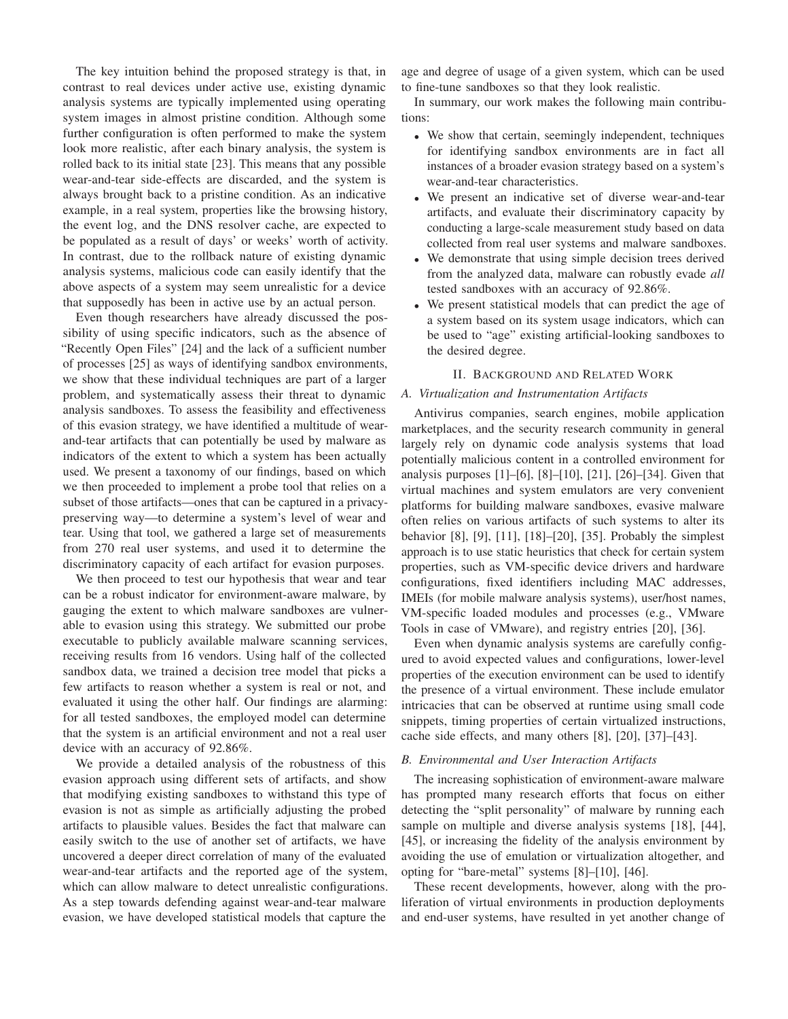The key intuition behind the proposed strategy is that, in contrast to real devices under active use, existing dynamic analysis systems are typically implemented using operating system images in almost pristine condition. Although some further configuration is often performed to make the system look more realistic, after each binary analysis, the system is rolled back to its initial state [23]. This means that any possible wear-and-tear side-effects are discarded, and the system is always brought back to a pristine condition. As an indicative example, in a real system, properties like the browsing history, the event log, and the DNS resolver cache, are expected to be populated as a result of days' or weeks' worth of activity. In contrast, due to the rollback nature of existing dynamic analysis systems, malicious code can easily identify that the above aspects of a system may seem unrealistic for a device that supposedly has been in active use by an actual person.

Even though researchers have already discussed the possibility of using specific indicators, such as the absence of "Recently Open Files" [24] and the lack of a sufficient number of processes [25] as ways of identifying sandbox environments, we show that these individual techniques are part of a larger problem, and systematically assess their threat to dynamic analysis sandboxes. To assess the feasibility and effectiveness of this evasion strategy, we have identified a multitude of wearand-tear artifacts that can potentially be used by malware as indicators of the extent to which a system has been actually used. We present a taxonomy of our findings, based on which we then proceeded to implement a probe tool that relies on a subset of those artifacts—ones that can be captured in a privacypreserving way—to determine a system's level of wear and tear. Using that tool, we gathered a large set of measurements from 270 real user systems, and used it to determine the discriminatory capacity of each artifact for evasion purposes.

We then proceed to test our hypothesis that wear and tear can be a robust indicator for environment-aware malware, by gauging the extent to which malware sandboxes are vulnerable to evasion using this strategy. We submitted our probe executable to publicly available malware scanning services, receiving results from 16 vendors. Using half of the collected sandbox data, we trained a decision tree model that picks a few artifacts to reason whether a system is real or not, and evaluated it using the other half. Our findings are alarming: for all tested sandboxes, the employed model can determine that the system is an artificial environment and not a real user device with an accuracy of 92.86%.

We provide a detailed analysis of the robustness of this evasion approach using different sets of artifacts, and show that modifying existing sandboxes to withstand this type of evasion is not as simple as artificially adjusting the probed artifacts to plausible values. Besides the fact that malware can easily switch to the use of another set of artifacts, we have uncovered a deeper direct correlation of many of the evaluated wear-and-tear artifacts and the reported age of the system, which can allow malware to detect unrealistic configurations. As a step towards defending against wear-and-tear malware evasion, we have developed statistical models that capture the

age and degree of usage of a given system, which can be used to fine-tune sandboxes so that they look realistic.

In summary, our work makes the following main contributions:

- We show that certain, seemingly independent, techniques for identifying sandbox environments are in fact all instances of a broader evasion strategy based on a system's wear-and-tear characteristics.
- We present an indicative set of diverse wear-and-tear artifacts, and evaluate their discriminatory capacity by conducting a large-scale measurement study based on data collected from real user systems and malware sandboxes.
- We demonstrate that using simple decision trees derived from the analyzed data, malware can robustly evade *all* tested sandboxes with an accuracy of 92.86%.
- We present statistical models that can predict the age of a system based on its system usage indicators, which can be used to "age" existing artificial-looking sandboxes to the desired degree.

## II. BACKGROUND AND RELATED WORK

#### *A. Virtualization and Instrumentation Artifacts*

Antivirus companies, search engines, mobile application marketplaces, and the security research community in general largely rely on dynamic code analysis systems that load potentially malicious content in a controlled environment for analysis purposes [1]–[6], [8]–[10], [21], [26]–[34]. Given that virtual machines and system emulators are very convenient platforms for building malware sandboxes, evasive malware often relies on various artifacts of such systems to alter its behavior [8], [9], [11], [18]–[20], [35]. Probably the simplest approach is to use static heuristics that check for certain system properties, such as VM-specific device drivers and hardware configurations, fixed identifiers including MAC addresses, IMEIs (for mobile malware analysis systems), user/host names, VM-specific loaded modules and processes (e.g., VMware Tools in case of VMware), and registry entries [20], [36].

Even when dynamic analysis systems are carefully configured to avoid expected values and configurations, lower-level properties of the execution environment can be used to identify the presence of a virtual environment. These include emulator intricacies that can be observed at runtime using small code snippets, timing properties of certain virtualized instructions, cache side effects, and many others [8], [20], [37]–[43].

#### *B. Environmental and User Interaction Artifacts*

The increasing sophistication of environment-aware malware has prompted many research efforts that focus on either detecting the "split personality" of malware by running each sample on multiple and diverse analysis systems [18], [44], [45], or increasing the fidelity of the analysis environment by avoiding the use of emulation or virtualization altogether, and opting for "bare-metal" systems [8]–[10], [46].

These recent developments, however, along with the proliferation of virtual environments in production deployments and end-user systems, have resulted in yet another change of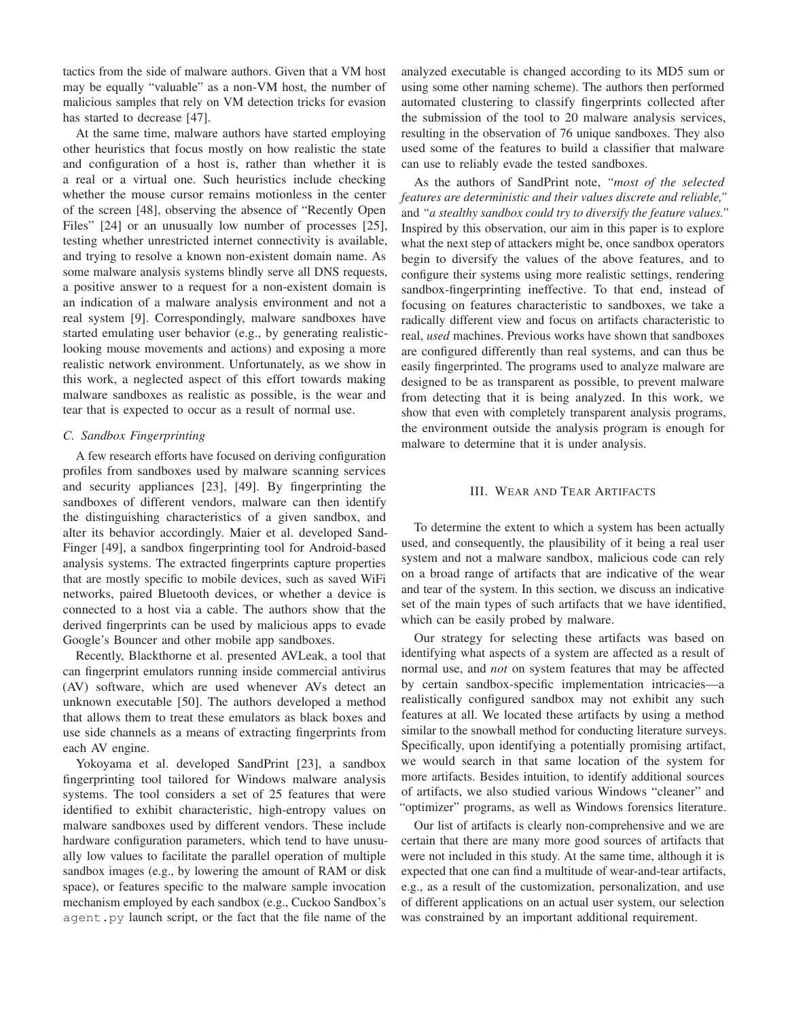tactics from the side of malware authors. Given that a VM host may be equally "valuable" as a non-VM host, the number of malicious samples that rely on VM detection tricks for evasion has started to decrease [47].

At the same time, malware authors have started employing other heuristics that focus mostly on how realistic the state and configuration of a host is, rather than whether it is a real or a virtual one. Such heuristics include checking whether the mouse cursor remains motionless in the center of the screen [48], observing the absence of "Recently Open Files" [24] or an unusually low number of processes [25], testing whether unrestricted internet connectivity is available, and trying to resolve a known non-existent domain name. As some malware analysis systems blindly serve all DNS requests, a positive answer to a request for a non-existent domain is an indication of a malware analysis environment and not a real system [9]. Correspondingly, malware sandboxes have started emulating user behavior (e.g., by generating realisticlooking mouse movements and actions) and exposing a more realistic network environment. Unfortunately, as we show in this work, a neglected aspect of this effort towards making malware sandboxes as realistic as possible, is the wear and tear that is expected to occur as a result of normal use.

### *C. Sandbox Fingerprinting*

A few research efforts have focused on deriving configuration profiles from sandboxes used by malware scanning services and security appliances [23], [49]. By fingerprinting the sandboxes of different vendors, malware can then identify the distinguishing characteristics of a given sandbox, and alter its behavior accordingly. Maier et al. developed Sand-Finger [49], a sandbox fingerprinting tool for Android-based analysis systems. The extracted fingerprints capture properties that are mostly specific to mobile devices, such as saved WiFi networks, paired Bluetooth devices, or whether a device is connected to a host via a cable. The authors show that the derived fingerprints can be used by malicious apps to evade Google's Bouncer and other mobile app sandboxes.

Recently, Blackthorne et al. presented AVLeak, a tool that can fingerprint emulators running inside commercial antivirus (AV) software, which are used whenever AVs detect an unknown executable [50]. The authors developed a method that allows them to treat these emulators as black boxes and use side channels as a means of extracting fingerprints from each AV engine.

Yokoyama et al. developed SandPrint [23], a sandbox fingerprinting tool tailored for Windows malware analysis systems. The tool considers a set of 25 features that were identified to exhibit characteristic, high-entropy values on malware sandboxes used by different vendors. These include hardware configuration parameters, which tend to have unusually low values to facilitate the parallel operation of multiple sandbox images (e.g., by lowering the amount of RAM or disk space), or features specific to the malware sample invocation mechanism employed by each sandbox (e.g., Cuckoo Sandbox's agent.py launch script, or the fact that the file name of the

analyzed executable is changed according to its MD5 sum or using some other naming scheme). The authors then performed automated clustering to classify fingerprints collected after the submission of the tool to 20 malware analysis services, resulting in the observation of 76 unique sandboxes. They also used some of the features to build a classifier that malware can use to reliably evade the tested sandboxes.

As the authors of SandPrint note, *"most of the selected features are deterministic and their values discrete and reliable,"* and *"a stealthy sandbox could try to diversify the feature values."* Inspired by this observation, our aim in this paper is to explore what the next step of attackers might be, once sandbox operators begin to diversify the values of the above features, and to configure their systems using more realistic settings, rendering sandbox-fingerprinting ineffective. To that end, instead of focusing on features characteristic to sandboxes, we take a radically different view and focus on artifacts characteristic to real, *used* machines. Previous works have shown that sandboxes are configured differently than real systems, and can thus be easily fingerprinted. The programs used to analyze malware are designed to be as transparent as possible, to prevent malware from detecting that it is being analyzed. In this work, we show that even with completely transparent analysis programs, the environment outside the analysis program is enough for malware to determine that it is under analysis.

## III. WEAR AND TEAR ARTIFACTS

To determine the extent to which a system has been actually used, and consequently, the plausibility of it being a real user system and not a malware sandbox, malicious code can rely on a broad range of artifacts that are indicative of the wear and tear of the system. In this section, we discuss an indicative set of the main types of such artifacts that we have identified, which can be easily probed by malware.

Our strategy for selecting these artifacts was based on identifying what aspects of a system are affected as a result of normal use, and *not* on system features that may be affected by certain sandbox-specific implementation intricacies—a realistically configured sandbox may not exhibit any such features at all. We located these artifacts by using a method similar to the snowball method for conducting literature surveys. Specifically, upon identifying a potentially promising artifact, we would search in that same location of the system for more artifacts. Besides intuition, to identify additional sources of artifacts, we also studied various Windows "cleaner" and "optimizer" programs, as well as Windows forensics literature.

Our list of artifacts is clearly non-comprehensive and we are certain that there are many more good sources of artifacts that were not included in this study. At the same time, although it is expected that one can find a multitude of wear-and-tear artifacts, e.g., as a result of the customization, personalization, and use of different applications on an actual user system, our selection was constrained by an important additional requirement.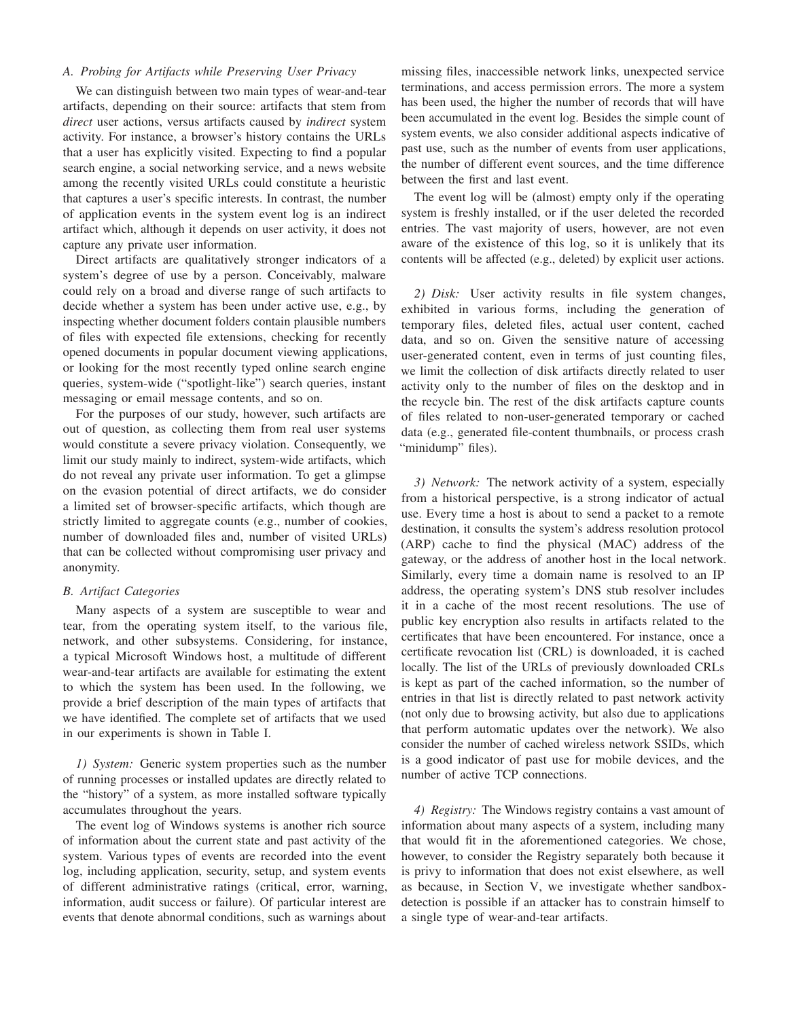# *A. Probing for Artifacts while Preserving User Privacy*

We can distinguish between two main types of wear-and-tear artifacts, depending on their source: artifacts that stem from *direct* user actions, versus artifacts caused by *indirect* system activity. For instance, a browser's history contains the URLs that a user has explicitly visited. Expecting to find a popular search engine, a social networking service, and a news website among the recently visited URLs could constitute a heuristic that captures a user's specific interests. In contrast, the number of application events in the system event log is an indirect artifact which, although it depends on user activity, it does not capture any private user information.

Direct artifacts are qualitatively stronger indicators of a system's degree of use by a person. Conceivably, malware could rely on a broad and diverse range of such artifacts to decide whether a system has been under active use, e.g., by inspecting whether document folders contain plausible numbers of files with expected file extensions, checking for recently opened documents in popular document viewing applications, or looking for the most recently typed online search engine queries, system-wide ("spotlight-like") search queries, instant messaging or email message contents, and so on.

For the purposes of our study, however, such artifacts are out of question, as collecting them from real user systems would constitute a severe privacy violation. Consequently, we limit our study mainly to indirect, system-wide artifacts, which do not reveal any private user information. To get a glimpse on the evasion potential of direct artifacts, we do consider a limited set of browser-specific artifacts, which though are strictly limited to aggregate counts (e.g., number of cookies, number of downloaded files and, number of visited URLs) that can be collected without compromising user privacy and anonymity.

# *B. Artifact Categories*

Many aspects of a system are susceptible to wear and tear, from the operating system itself, to the various file, network, and other subsystems. Considering, for instance, a typical Microsoft Windows host, a multitude of different wear-and-tear artifacts are available for estimating the extent to which the system has been used. In the following, we provide a brief description of the main types of artifacts that we have identified. The complete set of artifacts that we used in our experiments is shown in Table I.

*1) System:* Generic system properties such as the number of running processes or installed updates are directly related to the "history" of a system, as more installed software typically accumulates throughout the years.

The event log of Windows systems is another rich source of information about the current state and past activity of the system. Various types of events are recorded into the event log, including application, security, setup, and system events of different administrative ratings (critical, error, warning, information, audit success or failure). Of particular interest are events that denote abnormal conditions, such as warnings about

missing files, inaccessible network links, unexpected service terminations, and access permission errors. The more a system has been used, the higher the number of records that will have been accumulated in the event log. Besides the simple count of system events, we also consider additional aspects indicative of past use, such as the number of events from user applications, the number of different event sources, and the time difference between the first and last event.

The event log will be (almost) empty only if the operating system is freshly installed, or if the user deleted the recorded entries. The vast majority of users, however, are not even aware of the existence of this log, so it is unlikely that its contents will be affected (e.g., deleted) by explicit user actions.

*2) Disk:* User activity results in file system changes, exhibited in various forms, including the generation of temporary files, deleted files, actual user content, cached data, and so on. Given the sensitive nature of accessing user-generated content, even in terms of just counting files, we limit the collection of disk artifacts directly related to user activity only to the number of files on the desktop and in the recycle bin. The rest of the disk artifacts capture counts of files related to non-user-generated temporary or cached data (e.g., generated file-content thumbnails, or process crash "minidump" files).

*3) Network:* The network activity of a system, especially from a historical perspective, is a strong indicator of actual use. Every time a host is about to send a packet to a remote destination, it consults the system's address resolution protocol (ARP) cache to find the physical (MAC) address of the gateway, or the address of another host in the local network. Similarly, every time a domain name is resolved to an IP address, the operating system's DNS stub resolver includes it in a cache of the most recent resolutions. The use of public key encryption also results in artifacts related to the certificates that have been encountered. For instance, once a certificate revocation list (CRL) is downloaded, it is cached locally. The list of the URLs of previously downloaded CRLs is kept as part of the cached information, so the number of entries in that list is directly related to past network activity (not only due to browsing activity, but also due to applications that perform automatic updates over the network). We also consider the number of cached wireless network SSIDs, which is a good indicator of past use for mobile devices, and the number of active TCP connections.

*4) Registry:* The Windows registry contains a vast amount of information about many aspects of a system, including many that would fit in the aforementioned categories. We chose, however, to consider the Registry separately both because it is privy to information that does not exist elsewhere, as well as because, in Section V, we investigate whether sandboxdetection is possible if an attacker has to constrain himself to a single type of wear-and-tear artifacts.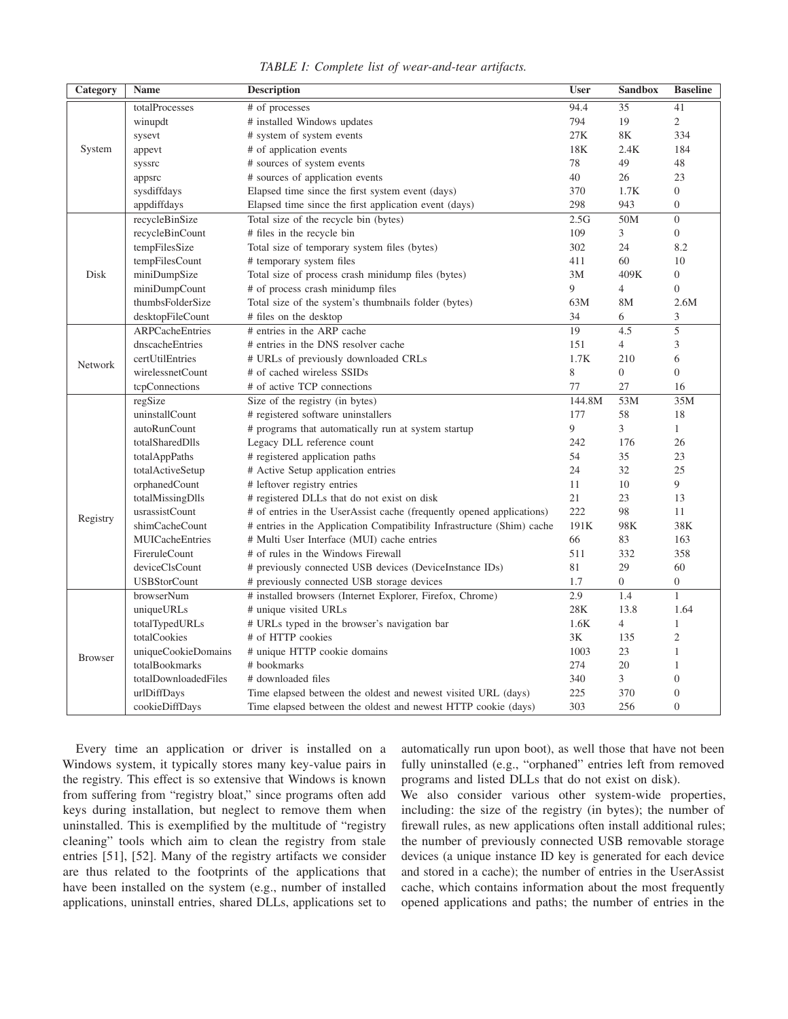*TABLE I: Complete list of wear-and-tear artifacts.*

| Category       | <b>Name</b>            | <b>Description</b>                                                     | <b>User</b> | <b>Sandbox</b> | <b>Baseline</b>  |
|----------------|------------------------|------------------------------------------------------------------------|-------------|----------------|------------------|
|                | totalProcesses         | # of processes                                                         | 94.4        | 35             | 41               |
|                | winupdt                | # installed Windows updates                                            | 794         | 19             | $\overline{2}$   |
|                | sysevt                 | # system of system events                                              | 27K         | 8K             | 334              |
| System         | appevt                 | # of application events                                                | 18K         | 2.4K           | 184              |
|                | syssrc                 | # sources of system events                                             | 78          | 49             | 48               |
|                | appsrc                 | # sources of application events                                        | 40          | 26             | 23               |
|                | sysdiffdays            | Elapsed time since the first system event (days)                       | 370         | 1.7K           | $\boldsymbol{0}$ |
|                | appdiffdays            | Elapsed time since the first application event (days)                  | 298         | 943            | $\boldsymbol{0}$ |
|                | recycleBinSize         | Total size of the recycle bin (bytes)                                  | 2.5G        | 50M            | $\boldsymbol{0}$ |
|                | recycleBinCount        | # files in the recycle bin                                             | 109         | 3              | $\overline{0}$   |
|                | tempFilesSize          | Total size of temporary system files (bytes)                           | 302         | 24             | 8.2              |
|                | tempFilesCount         | # temporary system files                                               | 411         | 60             | 10               |
| Disk           | miniDumpSize           | Total size of process crash minidump files (bytes)                     | 3M          | 409K           | $\overline{0}$   |
|                | miniDumpCount          | # of process crash minidump files                                      | 9           | $\overline{4}$ | $\overline{0}$   |
|                | thumbsFolderSize       | Total size of the system's thumbnails folder (bytes)                   | 63M         | <b>8M</b>      | 2.6M             |
|                | desktopFileCount       | # files on the desktop                                                 | 34          | 6              | 3                |
|                | ARPCacheEntries        | # entries in the ARP cache                                             | 19          | 4.5            | 5                |
|                | dnscacheEntries        | # entries in the DNS resolver cache                                    | 151         | $\overline{4}$ | 3                |
|                | certUtilEntries        | # URLs of previously downloaded CRLs                                   | 1.7K        | 210            | 6                |
| Network        | wirelessnetCount       | # of cached wireless SSIDs                                             | 8           | $\theta$       | $\overline{0}$   |
|                | tcpConnections         | # of active TCP connections                                            | 77          | 27             | 16               |
|                | regSize                | Size of the registry (in bytes)                                        | 144.8M      | 53M            | 35M              |
|                | uninstallCount         | # registered software uninstallers                                     | 177         | 58             | 18               |
|                | autoRunCount           | # programs that automatically run at system startup                    | 9           | 3              | $\mathbf{1}$     |
|                | totalSharedDlls        | Legacy DLL reference count                                             | 242         | 176            | 26               |
|                | totalAppPaths          | # registered application paths                                         | 54          | 35             | 23               |
|                | totalActiveSetup       | # Active Setup application entries                                     | 24          | 32             | 25               |
|                | orphanedCount          | # leftover registry entries                                            | 11          | 10             | 9                |
|                | totalMissingDlls       | # registered DLLs that do not exist on disk                            | 21          | 23             | 13               |
| Registry       | usrassistCount         | # of entries in the UserAssist cache (frequently opened applications)  | 222         | 98             | 11               |
|                | shimCacheCount         | # entries in the Application Compatibility Infrastructure (Shim) cache | 191K        | 98K            | 38K              |
|                | <b>MUICacheEntries</b> | # Multi User Interface (MUI) cache entries                             | 66          | 83             | 163              |
|                | FireruleCount          | # of rules in the Windows Firewall                                     | 511         | 332            | 358              |
|                | deviceClsCount         | # previously connected USB devices (DeviceInstance IDs)                | 81          | 29             | 60               |
|                | <b>USBStorCount</b>    | # previously connected USB storage devices                             | 1.7         | $\overline{0}$ | $\boldsymbol{0}$ |
|                | browserNum             | # installed browsers (Internet Explorer, Firefox, Chrome)              | 2.9         | 1.4            | $\mathbf{1}$     |
|                | uniqueURLs             | # unique visited URLs                                                  | 28K         | 13.8           | 1.64             |
|                | totalTypedURLs         | # URLs typed in the browser's navigation bar                           | 1.6K        | $\overline{4}$ | $\mathbf{1}$     |
|                | totalCookies           | # of HTTP cookies                                                      | 3K          | 135            | $\mathfrak{2}$   |
| <b>Browser</b> | uniqueCookieDomains    | # unique HTTP cookie domains                                           | 1003        | 23             | $\mathbf{1}$     |
|                | totalBookmarks         | # bookmarks                                                            | 274         | 20             | $\mathbf{1}$     |
|                | totalDownloadedFiles   | # downloaded files                                                     | 340         | 3              | $\overline{0}$   |
|                | urlDiffDays            | Time elapsed between the oldest and newest visited URL (days)          | 225         | 370            | $\overline{0}$   |
|                | cookieDiffDays         | Time elapsed between the oldest and newest HTTP cookie (days)          | 303         | 256            | $\overline{0}$   |

Every time an application or driver is installed on a Windows system, it typically stores many key-value pairs in the registry. This effect is so extensive that Windows is known from suffering from "registry bloat," since programs often add keys during installation, but neglect to remove them when uninstalled. This is exemplified by the multitude of "registry cleaning" tools which aim to clean the registry from stale entries [51], [52]. Many of the registry artifacts we consider are thus related to the footprints of the applications that have been installed on the system (e.g., number of installed applications, uninstall entries, shared DLLs, applications set to

automatically run upon boot), as well those that have not been fully uninstalled (e.g., "orphaned" entries left from removed programs and listed DLLs that do not exist on disk).

We also consider various other system-wide properties, including: the size of the registry (in bytes); the number of firewall rules, as new applications often install additional rules; the number of previously connected USB removable storage devices (a unique instance ID key is generated for each device and stored in a cache); the number of entries in the UserAssist cache, which contains information about the most frequently opened applications and paths; the number of entries in the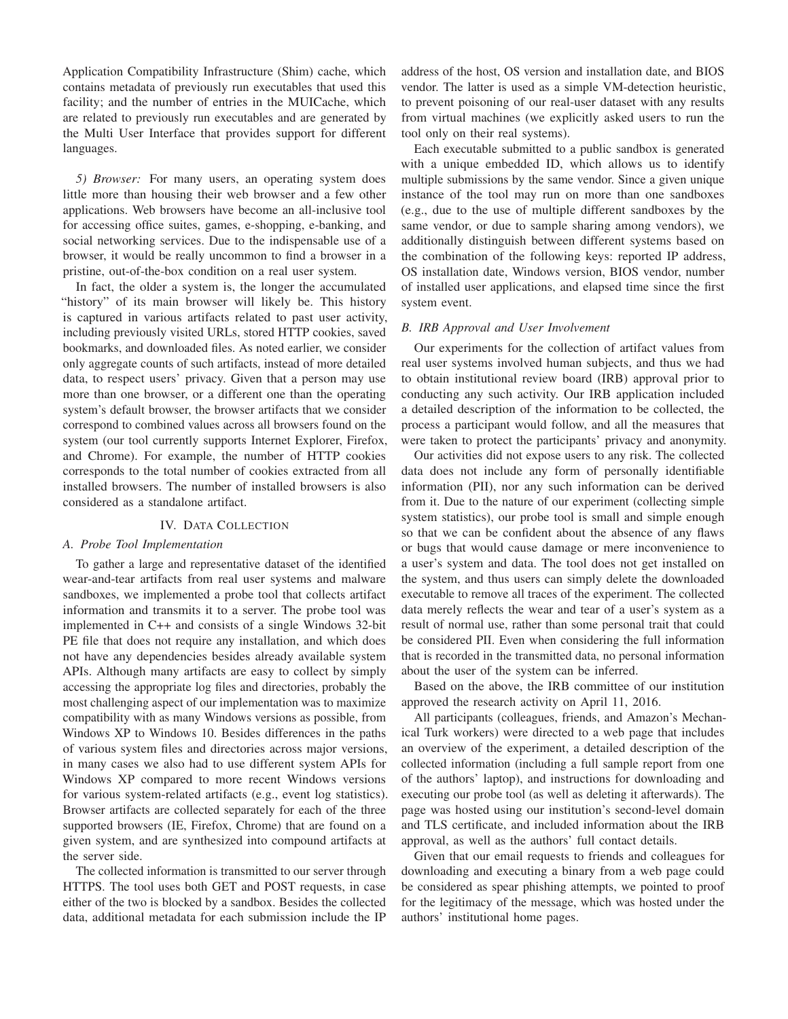Application Compatibility Infrastructure (Shim) cache, which contains metadata of previously run executables that used this facility; and the number of entries in the MUICache, which are related to previously run executables and are generated by the Multi User Interface that provides support for different languages.

*5) Browser:* For many users, an operating system does little more than housing their web browser and a few other applications. Web browsers have become an all-inclusive tool for accessing office suites, games, e-shopping, e-banking, and social networking services. Due to the indispensable use of a browser, it would be really uncommon to find a browser in a pristine, out-of-the-box condition on a real user system.

In fact, the older a system is, the longer the accumulated "history" of its main browser will likely be. This history is captured in various artifacts related to past user activity, including previously visited URLs, stored HTTP cookies, saved bookmarks, and downloaded files. As noted earlier, we consider only aggregate counts of such artifacts, instead of more detailed data, to respect users' privacy. Given that a person may use more than one browser, or a different one than the operating system's default browser, the browser artifacts that we consider correspond to combined values across all browsers found on the system (our tool currently supports Internet Explorer, Firefox, and Chrome). For example, the number of HTTP cookies corresponds to the total number of cookies extracted from all installed browsers. The number of installed browsers is also considered as a standalone artifact.

#### IV. DATA COLLECTION

# *A. Probe Tool Implementation*

To gather a large and representative dataset of the identified wear-and-tear artifacts from real user systems and malware sandboxes, we implemented a probe tool that collects artifact information and transmits it to a server. The probe tool was implemented in C++ and consists of a single Windows 32-bit PE file that does not require any installation, and which does not have any dependencies besides already available system APIs. Although many artifacts are easy to collect by simply accessing the appropriate log files and directories, probably the most challenging aspect of our implementation was to maximize compatibility with as many Windows versions as possible, from Windows XP to Windows 10. Besides differences in the paths of various system files and directories across major versions, in many cases we also had to use different system APIs for Windows XP compared to more recent Windows versions for various system-related artifacts (e.g., event log statistics). Browser artifacts are collected separately for each of the three supported browsers (IE, Firefox, Chrome) that are found on a given system, and are synthesized into compound artifacts at the server side.

The collected information is transmitted to our server through HTTPS. The tool uses both GET and POST requests, in case either of the two is blocked by a sandbox. Besides the collected data, additional metadata for each submission include the IP address of the host, OS version and installation date, and BIOS vendor. The latter is used as a simple VM-detection heuristic, to prevent poisoning of our real-user dataset with any results from virtual machines (we explicitly asked users to run the tool only on their real systems).

Each executable submitted to a public sandbox is generated with a unique embedded ID, which allows us to identify multiple submissions by the same vendor. Since a given unique instance of the tool may run on more than one sandboxes (e.g., due to the use of multiple different sandboxes by the same vendor, or due to sample sharing among vendors), we additionally distinguish between different systems based on the combination of the following keys: reported IP address, OS installation date, Windows version, BIOS vendor, number of installed user applications, and elapsed time since the first system event.

#### *B. IRB Approval and User Involvement*

Our experiments for the collection of artifact values from real user systems involved human subjects, and thus we had to obtain institutional review board (IRB) approval prior to conducting any such activity. Our IRB application included a detailed description of the information to be collected, the process a participant would follow, and all the measures that were taken to protect the participants' privacy and anonymity.

Our activities did not expose users to any risk. The collected data does not include any form of personally identifiable information (PII), nor any such information can be derived from it. Due to the nature of our experiment (collecting simple system statistics), our probe tool is small and simple enough so that we can be confident about the absence of any flaws or bugs that would cause damage or mere inconvenience to a user's system and data. The tool does not get installed on the system, and thus users can simply delete the downloaded executable to remove all traces of the experiment. The collected data merely reflects the wear and tear of a user's system as a result of normal use, rather than some personal trait that could be considered PII. Even when considering the full information that is recorded in the transmitted data, no personal information about the user of the system can be inferred.

Based on the above, the IRB committee of our institution approved the research activity on April 11, 2016.

All participants (colleagues, friends, and Amazon's Mechanical Turk workers) were directed to a web page that includes an overview of the experiment, a detailed description of the collected information (including a full sample report from one of the authors' laptop), and instructions for downloading and executing our probe tool (as well as deleting it afterwards). The page was hosted using our institution's second-level domain and TLS certificate, and included information about the IRB approval, as well as the authors' full contact details.

Given that our email requests to friends and colleagues for downloading and executing a binary from a web page could be considered as spear phishing attempts, we pointed to proof for the legitimacy of the message, which was hosted under the authors' institutional home pages.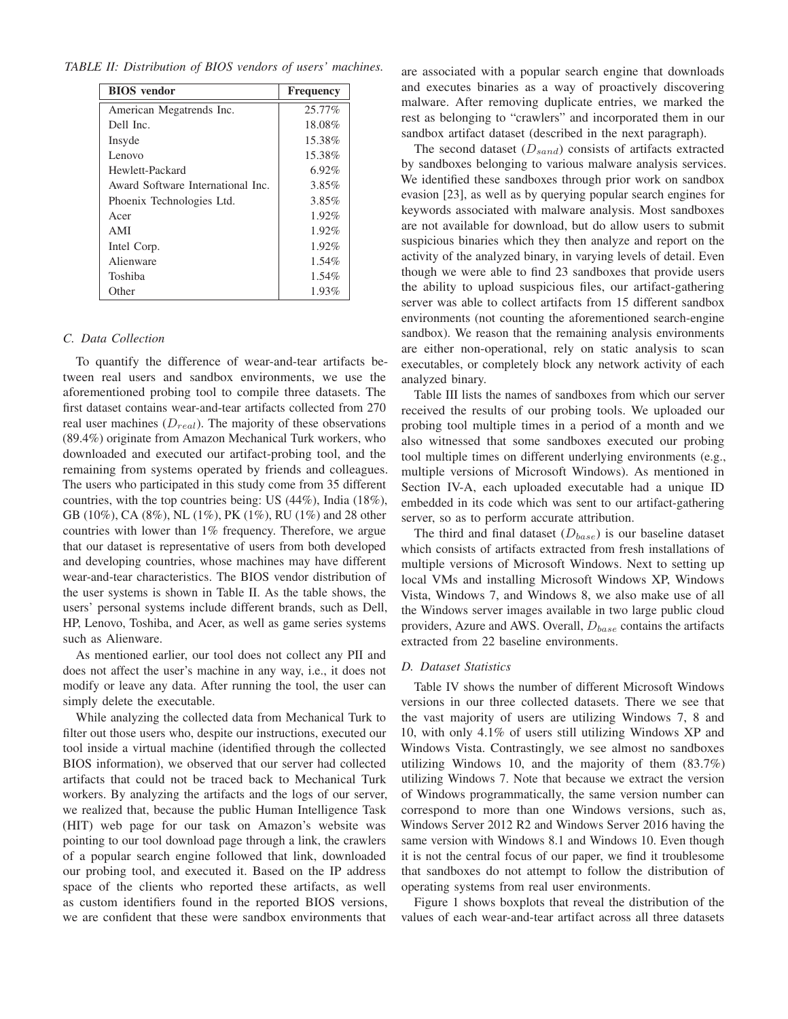| TABLE II: Distribution of BIOS vendors of users' machines. |  |  |  |
|------------------------------------------------------------|--|--|--|
|                                                            |  |  |  |

| <b>BIOS</b> vendor                | <b>Frequency</b> |
|-----------------------------------|------------------|
| American Megatrends Inc.          | $25.77\%$        |
| Dell Inc.                         | 18.08%           |
| Insyde                            | 15.38%           |
| Lenovo                            | 15.38%           |
| Hewlett-Packard                   | 6.92%            |
| Award Software International Inc. | 3.85%            |
| Phoenix Technologies Ltd.         | 3.85%            |
| Acer                              | 1.92%            |
| AMI                               | 1.92%            |
| Intel Corp.                       | 1.92%            |
| Alienware                         | $1.54\%$         |
| Toshiba                           | $1.54\%$         |
| Other                             | 1.93%            |

## *C. Data Collection*

To quantify the difference of wear-and-tear artifacts between real users and sandbox environments, we use the aforementioned probing tool to compile three datasets. The first dataset contains wear-and-tear artifacts collected from 270 real user machines  $(D_{real})$ . The majority of these observations (89.4%) originate from Amazon Mechanical Turk workers, who downloaded and executed our artifact-probing tool, and the remaining from systems operated by friends and colleagues. The users who participated in this study come from 35 different countries, with the top countries being: US (44%), India (18%), GB (10%), CA (8%), NL (1%), PK (1%), RU (1%) and 28 other countries with lower than 1% frequency. Therefore, we argue that our dataset is representative of users from both developed and developing countries, whose machines may have different wear-and-tear characteristics. The BIOS vendor distribution of the user systems is shown in Table II. As the table shows, the users' personal systems include different brands, such as Dell, HP, Lenovo, Toshiba, and Acer, as well as game series systems such as Alienware.

As mentioned earlier, our tool does not collect any PII and does not affect the user's machine in any way, i.e., it does not modify or leave any data. After running the tool, the user can simply delete the executable.

While analyzing the collected data from Mechanical Turk to filter out those users who, despite our instructions, executed our tool inside a virtual machine (identified through the collected BIOS information), we observed that our server had collected artifacts that could not be traced back to Mechanical Turk workers. By analyzing the artifacts and the logs of our server, we realized that, because the public Human Intelligence Task (HIT) web page for our task on Amazon's website was pointing to our tool download page through a link, the crawlers of a popular search engine followed that link, downloaded our probing tool, and executed it. Based on the IP address space of the clients who reported these artifacts, as well as custom identifiers found in the reported BIOS versions, we are confident that these were sandbox environments that

are associated with a popular search engine that downloads and executes binaries as a way of proactively discovering malware. After removing duplicate entries, we marked the rest as belonging to "crawlers" and incorporated them in our sandbox artifact dataset (described in the next paragraph).

The second dataset  $(D_{sand})$  consists of artifacts extracted by sandboxes belonging to various malware analysis services. We identified these sandboxes through prior work on sandbox evasion [23], as well as by querying popular search engines for keywords associated with malware analysis. Most sandboxes are not available for download, but do allow users to submit suspicious binaries which they then analyze and report on the activity of the analyzed binary, in varying levels of detail. Even though we were able to find 23 sandboxes that provide users the ability to upload suspicious files, our artifact-gathering server was able to collect artifacts from 15 different sandbox environments (not counting the aforementioned search-engine sandbox). We reason that the remaining analysis environments are either non-operational, rely on static analysis to scan executables, or completely block any network activity of each analyzed binary.

Table III lists the names of sandboxes from which our server received the results of our probing tools. We uploaded our probing tool multiple times in a period of a month and we also witnessed that some sandboxes executed our probing tool multiple times on different underlying environments (e.g., multiple versions of Microsoft Windows). As mentioned in Section IV-A, each uploaded executable had a unique ID embedded in its code which was sent to our artifact-gathering server, so as to perform accurate attribution.

The third and final dataset  $(D_{base})$  is our baseline dataset which consists of artifacts extracted from fresh installations of multiple versions of Microsoft Windows. Next to setting up local VMs and installing Microsoft Windows XP, Windows Vista, Windows 7, and Windows 8, we also make use of all the Windows server images available in two large public cloud providers, Azure and AWS. Overall,  $D_{base}$  contains the artifacts extracted from 22 baseline environments.

# *D. Dataset Statistics*

Table IV shows the number of different Microsoft Windows versions in our three collected datasets. There we see that the vast majority of users are utilizing Windows 7, 8 and 10, with only 4.1% of users still utilizing Windows XP and Windows Vista. Contrastingly, we see almost no sandboxes utilizing Windows 10, and the majority of them (83.7%) utilizing Windows 7. Note that because we extract the version of Windows programmatically, the same version number can correspond to more than one Windows versions, such as, Windows Server 2012 R2 and Windows Server 2016 having the same version with Windows 8.1 and Windows 10. Even though it is not the central focus of our paper, we find it troublesome that sandboxes do not attempt to follow the distribution of operating systems from real user environments.

Figure 1 shows boxplots that reveal the distribution of the values of each wear-and-tear artifact across all three datasets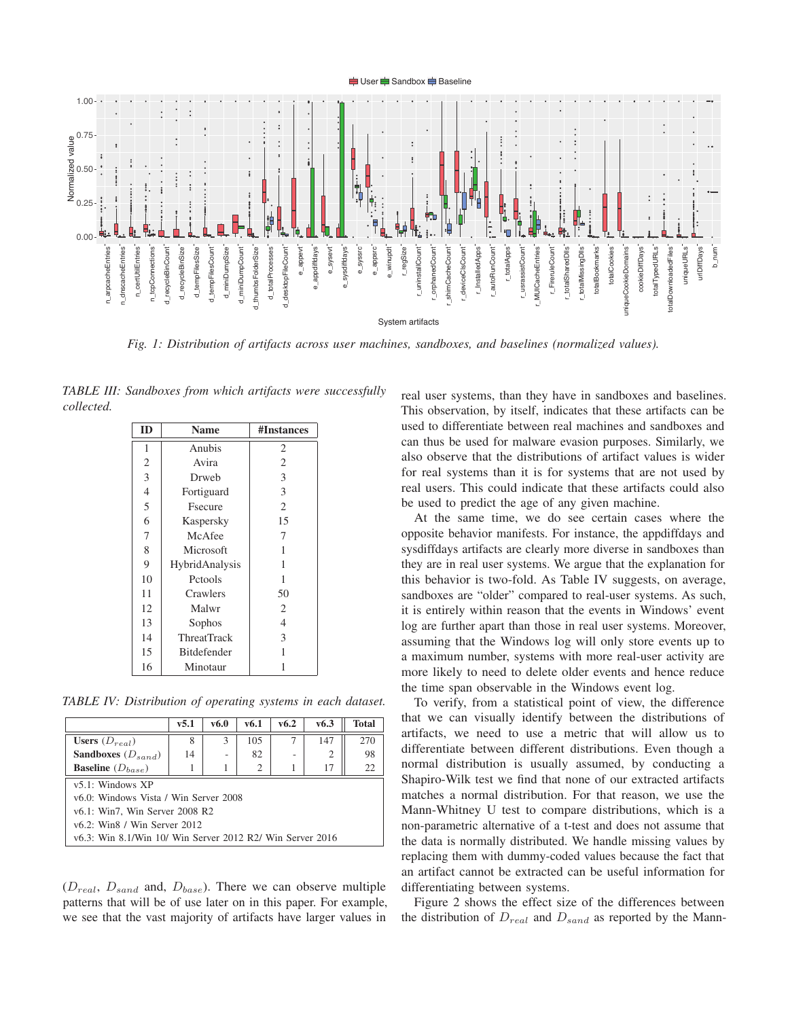

*Fig. 1: Distribution of artifacts across user machines, sandboxes, and baselines (normalized values).*

*TABLE III: Sandboxes from which artifacts were successfully collected.*

| <b>ID</b>      | <b>Name</b>        | #Instances     |
|----------------|--------------------|----------------|
| 1              | Anubis             | $\overline{2}$ |
| 2              | Avira              | 2              |
| 3              | Drweb              | 3              |
| $\overline{4}$ | Fortiguard         | 3              |
| 5              | <b>Fsecure</b>     | $\overline{2}$ |
| 6              | Kaspersky          | 15             |
| $\overline{7}$ | McAfee             | 7              |
| 8              | Microsoft          | 1              |
| 9              | HybridAnalysis     | 1              |
| 10             | Petools            | 1              |
| 11             | Crawlers           | 50             |
| 12             | Malwr              | $\overline{2}$ |
| 13             | Sophos             | 4              |
| 14             | <b>ThreatTrack</b> | 3              |
| 15             | <b>Bitdefender</b> | 1              |
| 16             | Minotaur           |                |

*TABLE IV: Distribution of operating systems in each dataset.*

|                                                           | v5.1 | v6.0 | v6.1 | v6.2 | v6.3 | <b>Total</b> |  |
|-----------------------------------------------------------|------|------|------|------|------|--------------|--|
| Users $(D_{real})$                                        | 8    | 3    | 105  |      | 147  | 270          |  |
| <b>Sandboxes</b> $(D_{sand})$                             | 14   |      | 82   |      | 2    | 98           |  |
| <b>Baseline</b> $(D_{base})$                              |      |      | 2    |      | 17   | 22           |  |
| v5.1: Windows XP                                          |      |      |      |      |      |              |  |
| v6.0: Windows Vista / Win Server 2008                     |      |      |      |      |      |              |  |
| v6.1: Win7, Win Server 2008 R2                            |      |      |      |      |      |              |  |
| v6.2: Win8 / Win Server 2012                              |      |      |      |      |      |              |  |
| v6.3: Win 8.1/Win 10/ Win Server 2012 R2/ Win Server 2016 |      |      |      |      |      |              |  |

 $(D_{real}, D_{sand}$  and,  $D_{base}$ ). There we can observe multiple patterns that will be of use later on in this paper. For example, we see that the vast majority of artifacts have larger values in

real user systems, than they have in sandboxes and baselines. This observation, by itself, indicates that these artifacts can be used to differentiate between real machines and sandboxes and can thus be used for malware evasion purposes. Similarly, we also observe that the distributions of artifact values is wider for real systems than it is for systems that are not used by real users. This could indicate that these artifacts could also be used to predict the age of any given machine.

At the same time, we do see certain cases where the opposite behavior manifests. For instance, the appdiffdays and sysdiffdays artifacts are clearly more diverse in sandboxes than they are in real user systems. We argue that the explanation for this behavior is two-fold. As Table IV suggests, on average, sandboxes are "older" compared to real-user systems. As such, it is entirely within reason that the events in Windows' event log are further apart than those in real user systems. Moreover, assuming that the Windows log will only store events up to a maximum number, systems with more real-user activity are more likely to need to delete older events and hence reduce the time span observable in the Windows event log.

To verify, from a statistical point of view, the difference that we can visually identify between the distributions of artifacts, we need to use a metric that will allow us to differentiate between different distributions. Even though a normal distribution is usually assumed, by conducting a Shapiro-Wilk test we find that none of our extracted artifacts matches a normal distribution. For that reason, we use the Mann-Whitney U test to compare distributions, which is a non-parametric alternative of a t-test and does not assume that the data is normally distributed. We handle missing values by replacing them with dummy-coded values because the fact that an artifact cannot be extracted can be useful information for differentiating between systems.

Figure 2 shows the effect size of the differences between the distribution of  $D_{real}$  and  $D_{sand}$  as reported by the Mann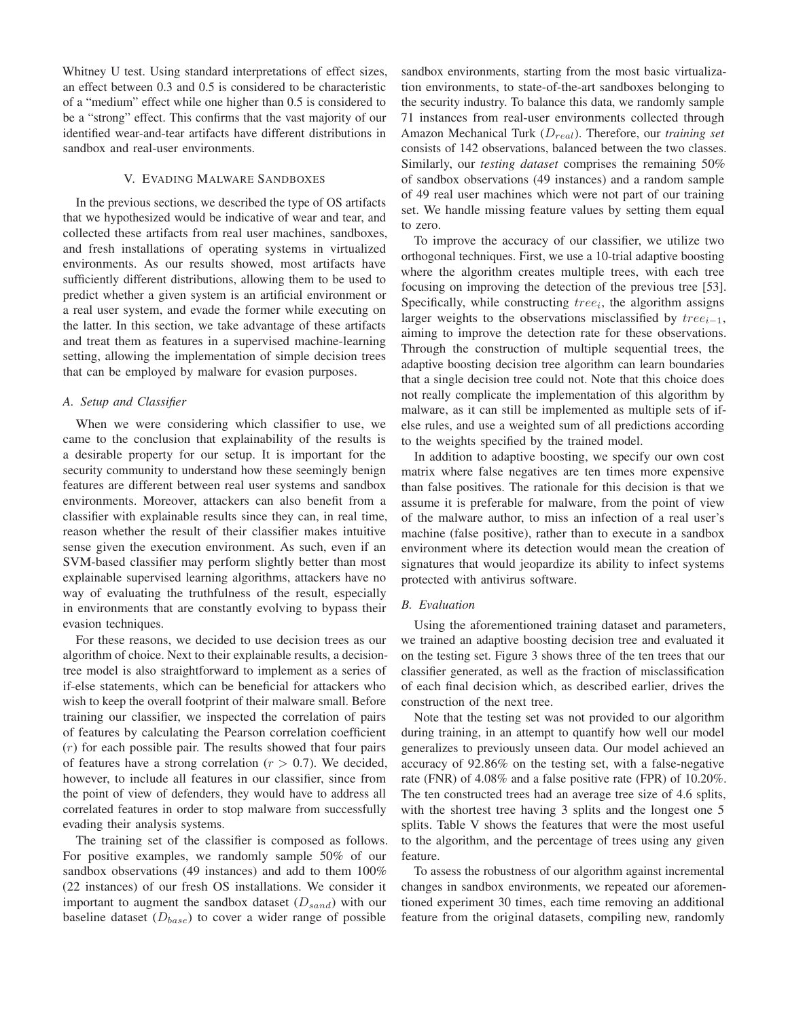Whitney U test. Using standard interpretations of effect sizes, an effect between 0.3 and 0.5 is considered to be characteristic of a "medium" effect while one higher than 0.5 is considered to be a "strong" effect. This confirms that the vast majority of our identified wear-and-tear artifacts have different distributions in sandbox and real-user environments.

#### V. EVADING MALWARE SANDBOXES

In the previous sections, we described the type of OS artifacts that we hypothesized would be indicative of wear and tear, and collected these artifacts from real user machines, sandboxes, and fresh installations of operating systems in virtualized environments. As our results showed, most artifacts have sufficiently different distributions, allowing them to be used to predict whether a given system is an artificial environment or a real user system, and evade the former while executing on the latter. In this section, we take advantage of these artifacts and treat them as features in a supervised machine-learning setting, allowing the implementation of simple decision trees that can be employed by malware for evasion purposes.

## *A. Setup and Classifier*

When we were considering which classifier to use, we came to the conclusion that explainability of the results is a desirable property for our setup. It is important for the security community to understand how these seemingly benign features are different between real user systems and sandbox environments. Moreover, attackers can also benefit from a classifier with explainable results since they can, in real time, reason whether the result of their classifier makes intuitive sense given the execution environment. As such, even if an SVM-based classifier may perform slightly better than most explainable supervised learning algorithms, attackers have no way of evaluating the truthfulness of the result, especially in environments that are constantly evolving to bypass their evasion techniques.

For these reasons, we decided to use decision trees as our algorithm of choice. Next to their explainable results, a decisiontree model is also straightforward to implement as a series of if-else statements, which can be beneficial for attackers who wish to keep the overall footprint of their malware small. Before training our classifier, we inspected the correlation of pairs of features by calculating the Pearson correlation coefficient  $(r)$  for each possible pair. The results showed that four pairs of features have a strong correlation ( $r > 0.7$ ). We decided, however, to include all features in our classifier, since from the point of view of defenders, they would have to address all correlated features in order to stop malware from successfully evading their analysis systems.

The training set of the classifier is composed as follows. For positive examples, we randomly sample 50% of our sandbox observations (49 instances) and add to them 100% (22 instances) of our fresh OS installations. We consider it important to augment the sandbox dataset  $(D_{sand})$  with our baseline dataset  $(D_{base})$  to cover a wider range of possible

sandbox environments, starting from the most basic virtualization environments, to state-of-the-art sandboxes belonging to the security industry. To balance this data, we randomly sample 71 instances from real-user environments collected through Amazon Mechanical Turk ( $D_{real}$ ). Therefore, our *training set* consists of 142 observations, balanced between the two classes. Similarly, our *testing dataset* comprises the remaining 50% of sandbox observations (49 instances) and a random sample of 49 real user machines which were not part of our training set. We handle missing feature values by setting them equal to zero.

To improve the accuracy of our classifier, we utilize two orthogonal techniques. First, we use a 10-trial adaptive boosting where the algorithm creates multiple trees, with each tree focusing on improving the detection of the previous tree [53]. Specifically, while constructing  $tree_i$ , the algorithm assigns larger weights to the observations misclassified by  $tree_{i-1}$ , aiming to improve the detection rate for these observations. Through the construction of multiple sequential trees, the adaptive boosting decision tree algorithm can learn boundaries that a single decision tree could not. Note that this choice does not really complicate the implementation of this algorithm by malware, as it can still be implemented as multiple sets of ifelse rules, and use a weighted sum of all predictions according to the weights specified by the trained model.

In addition to adaptive boosting, we specify our own cost matrix where false negatives are ten times more expensive than false positives. The rationale for this decision is that we assume it is preferable for malware, from the point of view of the malware author, to miss an infection of a real user's machine (false positive), rather than to execute in a sandbox environment where its detection would mean the creation of signatures that would jeopardize its ability to infect systems protected with antivirus software.

# *B. Evaluation*

Using the aforementioned training dataset and parameters, we trained an adaptive boosting decision tree and evaluated it on the testing set. Figure 3 shows three of the ten trees that our classifier generated, as well as the fraction of misclassification of each final decision which, as described earlier, drives the construction of the next tree.

Note that the testing set was not provided to our algorithm during training, in an attempt to quantify how well our model generalizes to previously unseen data. Our model achieved an accuracy of 92.86% on the testing set, with a false-negative rate (FNR) of 4.08% and a false positive rate (FPR) of 10.20%. The ten constructed trees had an average tree size of 4.6 splits, with the shortest tree having 3 splits and the longest one 5 splits. Table V shows the features that were the most useful to the algorithm, and the percentage of trees using any given feature.

To assess the robustness of our algorithm against incremental changes in sandbox environments, we repeated our aforementioned experiment 30 times, each time removing an additional feature from the original datasets, compiling new, randomly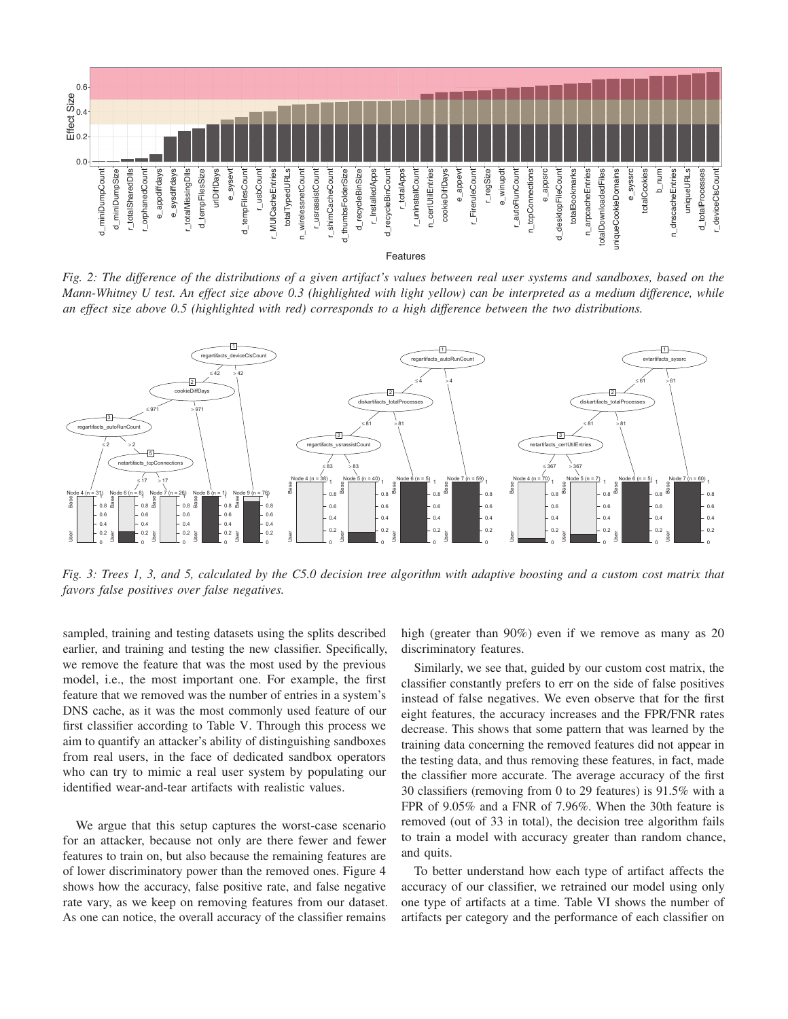

*Fig. 2: The difference of the distributions of a given artifact's values between real user systems and sandboxes, based on the Mann-Whitney U test. An effect size above 0.3 (highlighted with light yellow) can be interpreted as a medium difference, while an effect size above 0.5 (highlighted with red) corresponds to a high difference between the two distributions.*



*Fig. 3: Trees 1, 3, and 5, calculated by the C5.0 decision tree algorithm with adaptive boosting and a custom cost matrix that favors false positives over false negatives.*

sampled, training and testing datasets using the splits described earlier, and training and testing the new classifier. Specifically, we remove the feature that was the most used by the previous model, i.e., the most important one. For example, the first feature that we removed was the number of entries in a system's DNS cache, as it was the most commonly used feature of our first classifier according to Table V. Through this process we aim to quantify an attacker's ability of distinguishing sandboxes from real users, in the face of dedicated sandbox operators who can try to mimic a real user system by populating our identified wear-and-tear artifacts with realistic values.

We argue that this setup captures the worst-case scenario for an attacker, because not only are there fewer and fewer features to train on, but also because the remaining features are of lower discriminatory power than the removed ones. Figure 4 shows how the accuracy, false positive rate, and false negative rate vary, as we keep on removing features from our dataset. As one can notice, the overall accuracy of the classifier remains

high (greater than 90%) even if we remove as many as 20 discriminatory features.

Similarly, we see that, guided by our custom cost matrix, the classifier constantly prefers to err on the side of false positives instead of false negatives. We even observe that for the first eight features, the accuracy increases and the FPR/FNR rates decrease. This shows that some pattern that was learned by the training data concerning the removed features did not appear in the testing data, and thus removing these features, in fact, made the classifier more accurate. The average accuracy of the first 30 classifiers (removing from 0 to 29 features) is 91.5% with a FPR of 9.05% and a FNR of 7.96%. When the 30th feature is removed (out of 33 in total), the decision tree algorithm fails to train a model with accuracy greater than random chance, and quits.

To better understand how each type of artifact affects the accuracy of our classifier, we retrained our model using only one type of artifacts at a time. Table VI shows the number of artifacts per category and the performance of each classifier on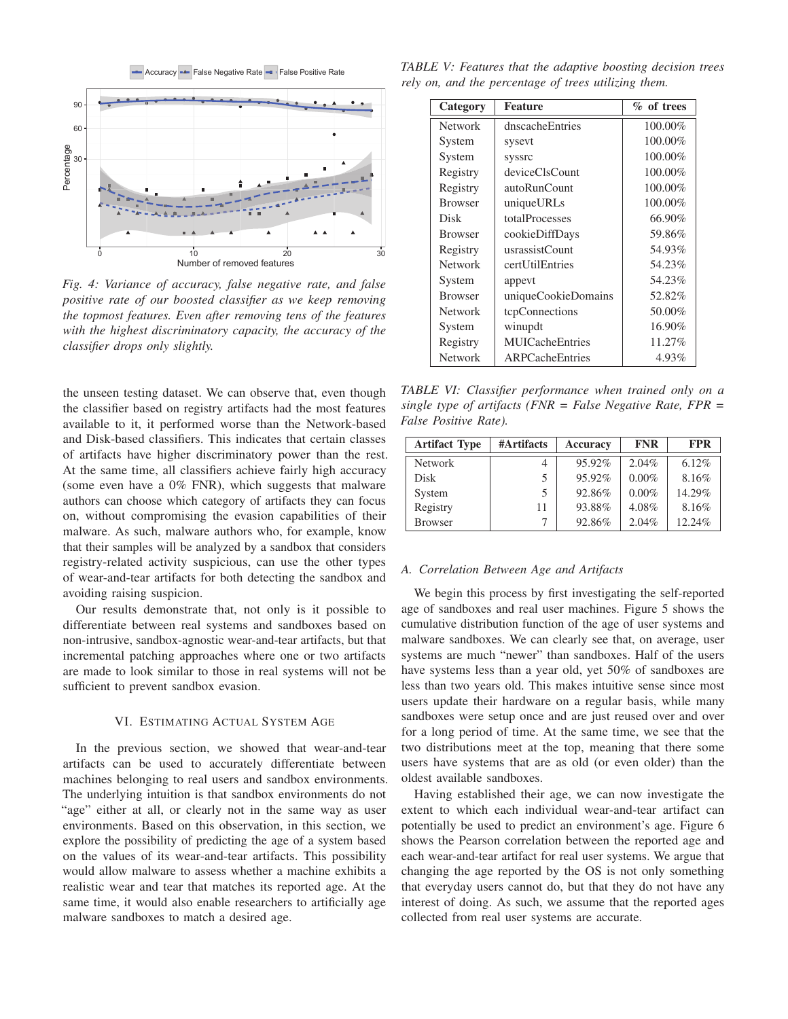

*Fig. 4: Variance of accuracy, false negative rate, and false positive rate of our boosted classifier as we keep removing the topmost features. Even after removing tens of the features with the highest discriminatory capacity, the accuracy of the classifier drops only slightly.*

the unseen testing dataset. We can observe that, even though the classifier based on registry artifacts had the most features available to it, it performed worse than the Network-based and Disk-based classifiers. This indicates that certain classes of artifacts have higher discriminatory power than the rest. At the same time, all classifiers achieve fairly high accuracy (some even have a 0% FNR), which suggests that malware authors can choose which category of artifacts they can focus on, without compromising the evasion capabilities of their malware. As such, malware authors who, for example, know that their samples will be analyzed by a sandbox that considers registry-related activity suspicious, can use the other types of wear-and-tear artifacts for both detecting the sandbox and avoiding raising suspicion.

Our results demonstrate that, not only is it possible to differentiate between real systems and sandboxes based on non-intrusive, sandbox-agnostic wear-and-tear artifacts, but that incremental patching approaches where one or two artifacts are made to look similar to those in real systems will not be sufficient to prevent sandbox evasion.

# VI. ESTIMATING ACTUAL SYSTEM AGE

In the previous section, we showed that wear-and-tear artifacts can be used to accurately differentiate between machines belonging to real users and sandbox environments. The underlying intuition is that sandbox environments do not "age" either at all, or clearly not in the same way as user environments. Based on this observation, in this section, we explore the possibility of predicting the age of a system based on the values of its wear-and-tear artifacts. This possibility would allow malware to assess whether a machine exhibits a realistic wear and tear that matches its reported age. At the same time, it would also enable researchers to artificially age malware sandboxes to match a desired age.

*TABLE V: Features that the adaptive boosting decision trees rely on, and the percentage of trees utilizing them.*

| Category       | <b>Feature</b>         | $%$ of trees |
|----------------|------------------------|--------------|
| <b>Network</b> | dnscacheEntries        | 100.00%      |
| System         | sysevt                 | 100.00%      |
| System         | syssrc                 | 100.00%      |
| Registry       | deviceClsCount         | 100.00%      |
| Registry       | autoRunCount           | 100.00%      |
| <b>Browser</b> | uniqueURLs             | 100.00%      |
| Disk           | totalProcesses         | 66.90%       |
| <b>Browser</b> | cookieDiffDays         | 59.86%       |
| Registry       | usrassistCount         | 54.93%       |
| <b>Network</b> | certUtilEntries        | 54.23%       |
| System         | appevt                 | 54.23%       |
| <b>Browser</b> | uniqueCookieDomains    | 52.82%       |
| <b>Network</b> | tcpConnections         | 50.00%       |
| System         | winupdt                | 16.90%       |
| Registry       | <b>MUICacheEntries</b> | 11.27%       |
| <b>Network</b> | <b>ARPCacheEntries</b> | 4.93%        |

*TABLE VI: Classifier performance when trained only on a single type of artifacts (FNR = False Negative Rate, FPR = False Positive Rate).*

| <b>Artifact Type</b> | #Artifacts | <b>Accuracy</b> | <b>FNR</b> | <b>FPR</b> |
|----------------------|------------|-----------------|------------|------------|
| <b>Network</b>       |            | 95.92%          | 2.04%      | $6.12\%$   |
| <b>Disk</b>          |            | 95.92%          | $0.00\%$   | 8.16%      |
| System               |            | 92.86%          | $0.00\%$   | 14.29%     |
| Registry             | 11         | 93.88%          | 4.08%      | 8.16%      |
| <b>Browser</b>       |            | 92.86%          | 2.04%      | 12.24%     |

#### *A. Correlation Between Age and Artifacts*

We begin this process by first investigating the self-reported age of sandboxes and real user machines. Figure 5 shows the cumulative distribution function of the age of user systems and malware sandboxes. We can clearly see that, on average, user systems are much "newer" than sandboxes. Half of the users have systems less than a year old, yet 50% of sandboxes are less than two years old. This makes intuitive sense since most users update their hardware on a regular basis, while many sandboxes were setup once and are just reused over and over for a long period of time. At the same time, we see that the two distributions meet at the top, meaning that there some users have systems that are as old (or even older) than the oldest available sandboxes.

Having established their age, we can now investigate the extent to which each individual wear-and-tear artifact can potentially be used to predict an environment's age. Figure 6 shows the Pearson correlation between the reported age and each wear-and-tear artifact for real user systems. We argue that changing the age reported by the OS is not only something that everyday users cannot do, but that they do not have any interest of doing. As such, we assume that the reported ages collected from real user systems are accurate.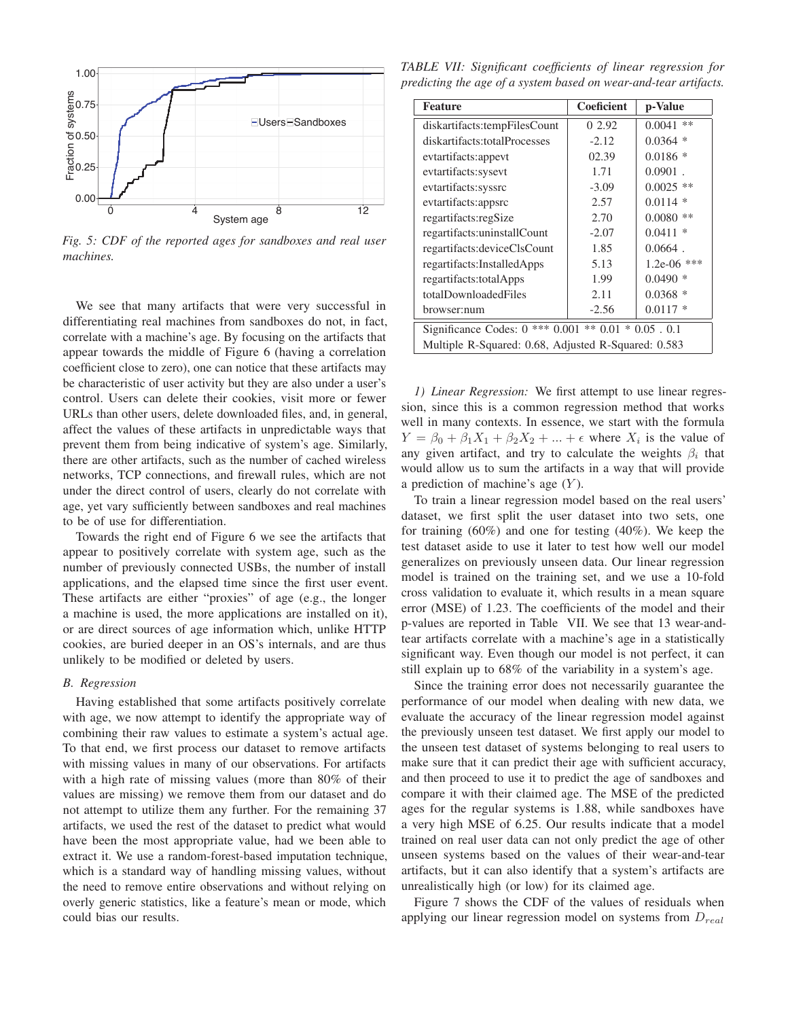

*Fig. 5: CDF of the reported ages for sandboxes and real user machines.*

We see that many artifacts that were very successful in differentiating real machines from sandboxes do not, in fact, correlate with a machine's age. By focusing on the artifacts that appear towards the middle of Figure 6 (having a correlation coefficient close to zero), one can notice that these artifacts may be characteristic of user activity but they are also under a user's control. Users can delete their cookies, visit more or fewer URLs than other users, delete downloaded files, and, in general, affect the values of these artifacts in unpredictable ways that prevent them from being indicative of system's age. Similarly, there are other artifacts, such as the number of cached wireless networks, TCP connections, and firewall rules, which are not under the direct control of users, clearly do not correlate with age, yet vary sufficiently between sandboxes and real machines to be of use for differentiation.

Towards the right end of Figure 6 we see the artifacts that appear to positively correlate with system age, such as the number of previously connected USBs, the number of install applications, and the elapsed time since the first user event. These artifacts are either "proxies" of age (e.g., the longer a machine is used, the more applications are installed on it), or are direct sources of age information which, unlike HTTP cookies, are buried deeper in an OS's internals, and are thus unlikely to be modified or deleted by users.

#### *B. Regression*

Having established that some artifacts positively correlate with age, we now attempt to identify the appropriate way of combining their raw values to estimate a system's actual age. To that end, we first process our dataset to remove artifacts with missing values in many of our observations. For artifacts with a high rate of missing values (more than 80% of their values are missing) we remove them from our dataset and do not attempt to utilize them any further. For the remaining 37 artifacts, we used the rest of the dataset to predict what would have been the most appropriate value, had we been able to extract it. We use a random-forest-based imputation technique, which is a standard way of handling missing values, without the need to remove entire observations and without relying on overly generic statistics, like a feature's mean or mode, which could bias our results.

*TABLE VII: Significant coefficients of linear regression for predicting the age of a system based on wear-and-tear artifacts.*

| <b>Feature</b>                                                | <b>Coeficient</b> | p-Value          |  |  |  |
|---------------------------------------------------------------|-------------------|------------------|--|--|--|
| diskartifacts:tempFilesCount                                  | 0 2.92            | $0.0041$ **      |  |  |  |
| diskartifacts:totalProcesses                                  | $-2.12$           | $0.0364$ *       |  |  |  |
| evtartifacts: appevt                                          | 02.39             | $0.0186*$        |  |  |  |
| evtartifacts:sysevt                                           | 1.71              | $0.0901$ .       |  |  |  |
| evtartifacts:syssrc                                           | $-3.09$           | $0.0025$ **      |  |  |  |
| evtartifacts: appsrc                                          | 2.57              | $0.0114$ *       |  |  |  |
| regartifacts:regSize                                          | 2.70              | $0.0080$ **      |  |  |  |
| regartifacts:uninstallCount                                   | $-2.07$           | 0.0411<br>$\ast$ |  |  |  |
| regartifacts: deviceClsCount                                  | 1.85              | $0.0664$ .       |  |  |  |
| regartifacts: Installed Apps                                  | 5.13              | $1.2e-06$ ***    |  |  |  |
| regartifacts:totalApps                                        | 1.99              | $0.0490*$        |  |  |  |
| totalDownloadedFiles                                          | 2.11              | $\ast$<br>0.0368 |  |  |  |
| $0.0117$ *<br>$-2.56$<br>browser:num                          |                   |                  |  |  |  |
| *** $0.001$ ** $0.01$ * $0.05$ . 0.1<br>Significance Codes: 0 |                   |                  |  |  |  |
| Multiple R-Squared: 0.68, Adjusted R-Squared: 0.583           |                   |                  |  |  |  |

*1) Linear Regression:* We first attempt to use linear regression, since this is a common regression method that works well in many contexts. In essence, we start with the formula  $Y = \beta_0 + \beta_1 X_1 + \beta_2 X_2 + \dots + \epsilon$  where  $X_i$  is the value of any given artifact, and try to calculate the weights  $\beta_i$  that would allow us to sum the artifacts in a way that will provide a prediction of machine's age  $(Y)$ .

To train a linear regression model based on the real users' dataset, we first split the user dataset into two sets, one for training (60%) and one for testing (40%). We keep the test dataset aside to use it later to test how well our model generalizes on previously unseen data. Our linear regression model is trained on the training set, and we use a 10-fold cross validation to evaluate it, which results in a mean square error (MSE) of 1.23. The coefficients of the model and their p-values are reported in Table VII. We see that 13 wear-andtear artifacts correlate with a machine's age in a statistically significant way. Even though our model is not perfect, it can still explain up to 68% of the variability in a system's age.

Since the training error does not necessarily guarantee the performance of our model when dealing with new data, we evaluate the accuracy of the linear regression model against the previously unseen test dataset. We first apply our model to the unseen test dataset of systems belonging to real users to make sure that it can predict their age with sufficient accuracy, and then proceed to use it to predict the age of sandboxes and compare it with their claimed age. The MSE of the predicted ages for the regular systems is 1.88, while sandboxes have a very high MSE of 6.25. Our results indicate that a model trained on real user data can not only predict the age of other unseen systems based on the values of their wear-and-tear artifacts, but it can also identify that a system's artifacts are unrealistically high (or low) for its claimed age.

Figure 7 shows the CDF of the values of residuals when applying our linear regression model on systems from  $D_{real}$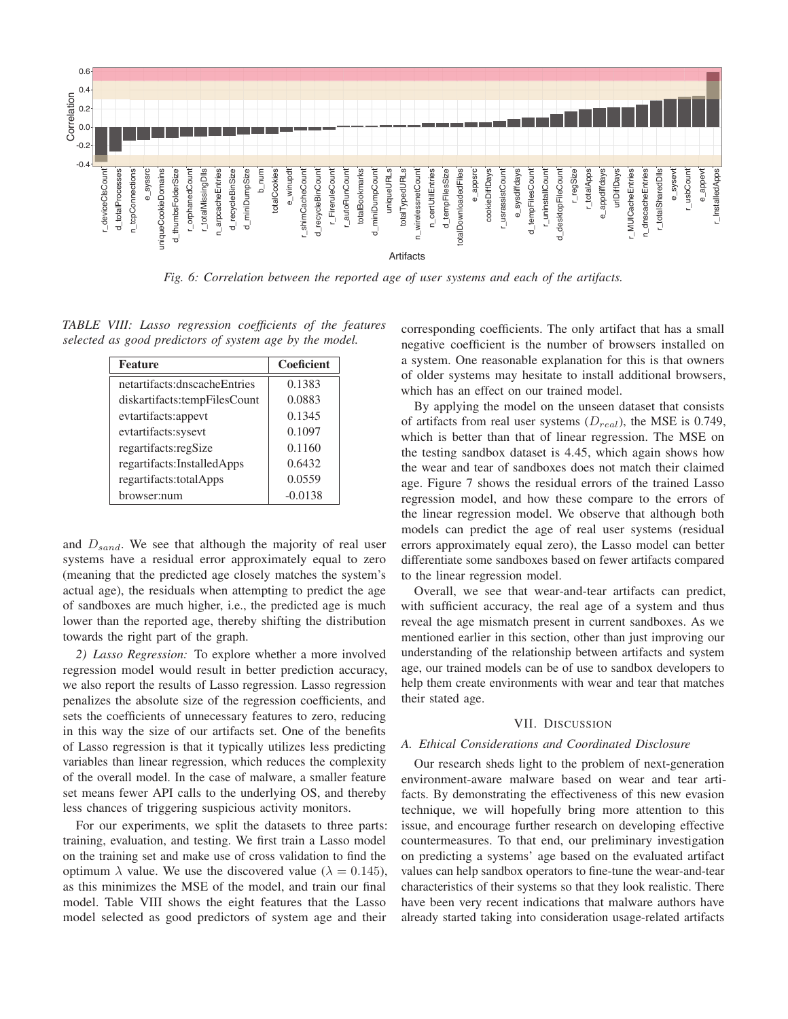

*Fig. 6: Correlation between the reported age of user systems and each of the artifacts.*

*TABLE VIII: Lasso regression coefficients of the features selected as good predictors of system age by the model.*

| <b>Feature</b>                 | <b>Coeficient</b> |
|--------------------------------|-------------------|
| netartifacts: dnscache Entries | 0.1383            |
| diskartifacts:tempFilesCount   | 0.0883            |
| evtartifacts:appevt            | 0.1345            |
| evtartifacts:sysevt            | 0.1097            |
| regartifacts:regSize           | 0.1160            |
| regartifacts:InstalledApps     | 0.6432            |
| regartifacts:totalApps         | 0.0559            |
| browser:num                    | $-0.0138$         |

and  $D_{sand}$ . We see that although the majority of real user systems have a residual error approximately equal to zero (meaning that the predicted age closely matches the system's actual age), the residuals when attempting to predict the age of sandboxes are much higher, i.e., the predicted age is much lower than the reported age, thereby shifting the distribution towards the right part of the graph.

*2) Lasso Regression:* To explore whether a more involved regression model would result in better prediction accuracy, we also report the results of Lasso regression. Lasso regression penalizes the absolute size of the regression coefficients, and sets the coefficients of unnecessary features to zero, reducing in this way the size of our artifacts set. One of the benefits of Lasso regression is that it typically utilizes less predicting variables than linear regression, which reduces the complexity of the overall model. In the case of malware, a smaller feature set means fewer API calls to the underlying OS, and thereby less chances of triggering suspicious activity monitors.

For our experiments, we split the datasets to three parts: training, evaluation, and testing. We first train a Lasso model on the training set and make use of cross validation to find the optimum  $\lambda$  value. We use the discovered value ( $\lambda = 0.145$ ), as this minimizes the MSE of the model, and train our final model. Table VIII shows the eight features that the Lasso model selected as good predictors of system age and their

corresponding coefficients. The only artifact that has a small negative coefficient is the number of browsers installed on a system. One reasonable explanation for this is that owners of older systems may hesitate to install additional browsers, which has an effect on our trained model.

By applying the model on the unseen dataset that consists of artifacts from real user systems  $(D_{real})$ , the MSE is 0.749, which is better than that of linear regression. The MSE on the testing sandbox dataset is 4.45, which again shows how the wear and tear of sandboxes does not match their claimed age. Figure 7 shows the residual errors of the trained Lasso regression model, and how these compare to the errors of the linear regression model. We observe that although both models can predict the age of real user systems (residual errors approximately equal zero), the Lasso model can better differentiate some sandboxes based on fewer artifacts compared to the linear regression model.

Overall, we see that wear-and-tear artifacts can predict, with sufficient accuracy, the real age of a system and thus reveal the age mismatch present in current sandboxes. As we mentioned earlier in this section, other than just improving our understanding of the relationship between artifacts and system age, our trained models can be of use to sandbox developers to help them create environments with wear and tear that matches their stated age.

### VII. DISCUSSION

# *A. Ethical Considerations and Coordinated Disclosure*

Our research sheds light to the problem of next-generation environment-aware malware based on wear and tear artifacts. By demonstrating the effectiveness of this new evasion technique, we will hopefully bring more attention to this issue, and encourage further research on developing effective countermeasures. To that end, our preliminary investigation on predicting a systems' age based on the evaluated artifact values can help sandbox operators to fine-tune the wear-and-tear characteristics of their systems so that they look realistic. There have been very recent indications that malware authors have already started taking into consideration usage-related artifacts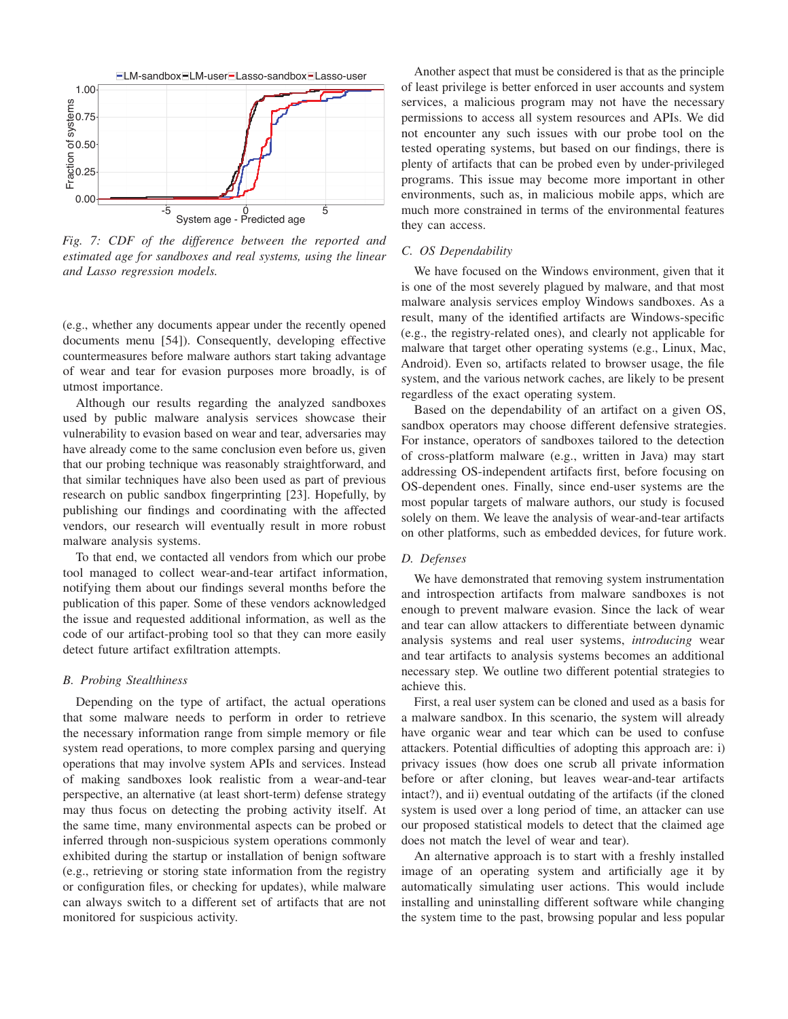

*Fig. 7: CDF of the difference between the reported and estimated age for sandboxes and real systems, using the linear and Lasso regression models.*

(e.g., whether any documents appear under the recently opened documents menu [54]). Consequently, developing effective countermeasures before malware authors start taking advantage of wear and tear for evasion purposes more broadly, is of utmost importance.

Although our results regarding the analyzed sandboxes used by public malware analysis services showcase their vulnerability to evasion based on wear and tear, adversaries may have already come to the same conclusion even before us, given that our probing technique was reasonably straightforward, and that similar techniques have also been used as part of previous research on public sandbox fingerprinting [23]. Hopefully, by publishing our findings and coordinating with the affected vendors, our research will eventually result in more robust malware analysis systems.

To that end, we contacted all vendors from which our probe tool managed to collect wear-and-tear artifact information, notifying them about our findings several months before the publication of this paper. Some of these vendors acknowledged the issue and requested additional information, as well as the code of our artifact-probing tool so that they can more easily detect future artifact exfiltration attempts.

## *B. Probing Stealthiness*

Depending on the type of artifact, the actual operations that some malware needs to perform in order to retrieve the necessary information range from simple memory or file system read operations, to more complex parsing and querying operations that may involve system APIs and services. Instead of making sandboxes look realistic from a wear-and-tear perspective, an alternative (at least short-term) defense strategy may thus focus on detecting the probing activity itself. At the same time, many environmental aspects can be probed or inferred through non-suspicious system operations commonly exhibited during the startup or installation of benign software (e.g., retrieving or storing state information from the registry or configuration files, or checking for updates), while malware can always switch to a different set of artifacts that are not monitored for suspicious activity.

Another aspect that must be considered is that as the principle of least privilege is better enforced in user accounts and system services, a malicious program may not have the necessary permissions to access all system resources and APIs. We did not encounter any such issues with our probe tool on the tested operating systems, but based on our findings, there is plenty of artifacts that can be probed even by under-privileged programs. This issue may become more important in other environments, such as, in malicious mobile apps, which are much more constrained in terms of the environmental features they can access.

## *C. OS Dependability*

We have focused on the Windows environment, given that it is one of the most severely plagued by malware, and that most malware analysis services employ Windows sandboxes. As a result, many of the identified artifacts are Windows-specific (e.g., the registry-related ones), and clearly not applicable for malware that target other operating systems (e.g., Linux, Mac, Android). Even so, artifacts related to browser usage, the file system, and the various network caches, are likely to be present regardless of the exact operating system.

Based on the dependability of an artifact on a given OS, sandbox operators may choose different defensive strategies. For instance, operators of sandboxes tailored to the detection of cross-platform malware (e.g., written in Java) may start addressing OS-independent artifacts first, before focusing on OS-dependent ones. Finally, since end-user systems are the most popular targets of malware authors, our study is focused solely on them. We leave the analysis of wear-and-tear artifacts on other platforms, such as embedded devices, for future work.

## *D. Defenses*

We have demonstrated that removing system instrumentation and introspection artifacts from malware sandboxes is not enough to prevent malware evasion. Since the lack of wear and tear can allow attackers to differentiate between dynamic analysis systems and real user systems, *introducing* wear and tear artifacts to analysis systems becomes an additional necessary step. We outline two different potential strategies to achieve this.

First, a real user system can be cloned and used as a basis for a malware sandbox. In this scenario, the system will already have organic wear and tear which can be used to confuse attackers. Potential difficulties of adopting this approach are: i) privacy issues (how does one scrub all private information before or after cloning, but leaves wear-and-tear artifacts intact?), and ii) eventual outdating of the artifacts (if the cloned system is used over a long period of time, an attacker can use our proposed statistical models to detect that the claimed age does not match the level of wear and tear).

An alternative approach is to start with a freshly installed image of an operating system and artificially age it by automatically simulating user actions. This would include installing and uninstalling different software while changing the system time to the past, browsing popular and less popular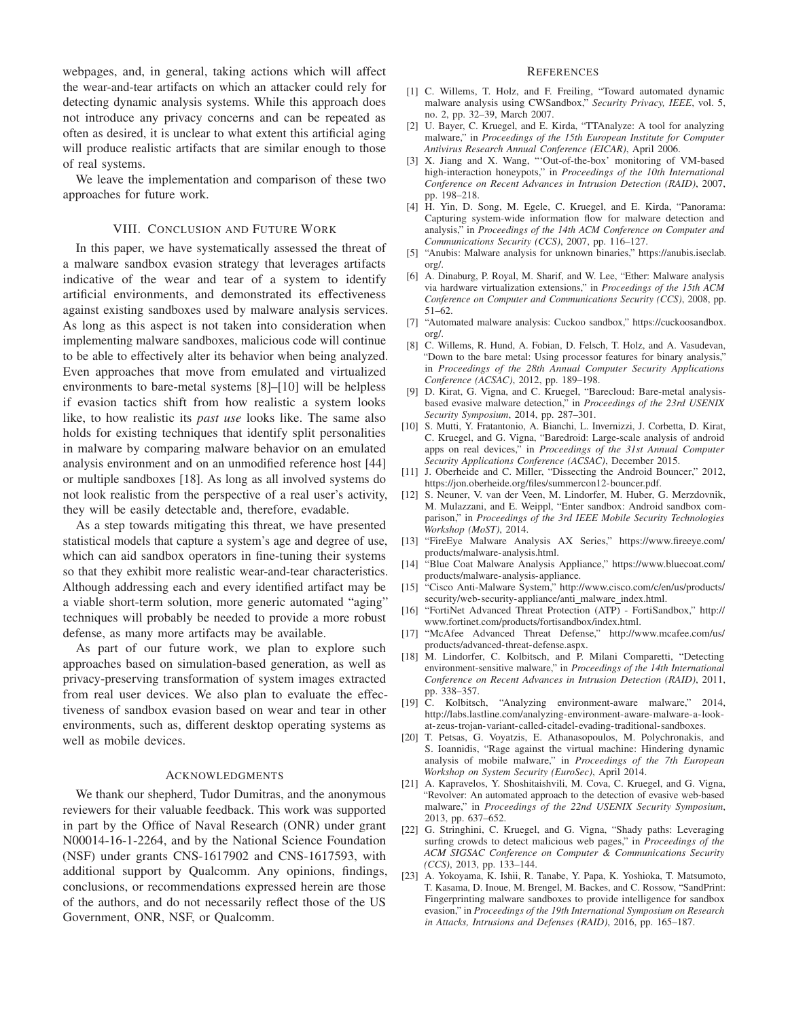webpages, and, in general, taking actions which will affect the wear-and-tear artifacts on which an attacker could rely for detecting dynamic analysis systems. While this approach does not introduce any privacy concerns and can be repeated as often as desired, it is unclear to what extent this artificial aging will produce realistic artifacts that are similar enough to those of real systems.

We leave the implementation and comparison of these two approaches for future work.

#### VIII. CONCLUSION AND FUTURE WORK

In this paper, we have systematically assessed the threat of a malware sandbox evasion strategy that leverages artifacts indicative of the wear and tear of a system to identify artificial environments, and demonstrated its effectiveness against existing sandboxes used by malware analysis services. As long as this aspect is not taken into consideration when implementing malware sandboxes, malicious code will continue to be able to effectively alter its behavior when being analyzed. Even approaches that move from emulated and virtualized environments to bare-metal systems [8]–[10] will be helpless if evasion tactics shift from how realistic a system looks like, to how realistic its *past use* looks like. The same also holds for existing techniques that identify split personalities in malware by comparing malware behavior on an emulated analysis environment and on an unmodified reference host [44] or multiple sandboxes [18]. As long as all involved systems do not look realistic from the perspective of a real user's activity, they will be easily detectable and, therefore, evadable.

As a step towards mitigating this threat, we have presented statistical models that capture a system's age and degree of use, which can aid sandbox operators in fine-tuning their systems so that they exhibit more realistic wear-and-tear characteristics. Although addressing each and every identified artifact may be a viable short-term solution, more generic automated "aging" techniques will probably be needed to provide a more robust defense, as many more artifacts may be available.

As part of our future work, we plan to explore such approaches based on simulation-based generation, as well as privacy-preserving transformation of system images extracted from real user devices. We also plan to evaluate the effectiveness of sandbox evasion based on wear and tear in other environments, such as, different desktop operating systems as well as mobile devices.

#### ACKNOWLEDGMENTS

We thank our shepherd, Tudor Dumitras, and the anonymous reviewers for their valuable feedback. This work was supported in part by the Office of Naval Research (ONR) under grant N00014-16-1-2264, and by the National Science Foundation (NSF) under grants CNS-1617902 and CNS-1617593, with additional support by Qualcomm. Any opinions, findings, conclusions, or recommendations expressed herein are those of the authors, and do not necessarily reflect those of the US Government, ONR, NSF, or Qualcomm.

#### **REFERENCES**

- [1] C. Willems, T. Holz, and F. Freiling, "Toward automated dynamic malware analysis using CWSandbox," *Security Privacy, IEEE*, vol. 5, no. 2, pp. 32–39, March 2007.
- [2] U. Bayer, C. Kruegel, and E. Kirda, "TTAnalyze: A tool for analyzing malware," in *Proceedings of the 15th European Institute for Computer Antivirus Research Annual Conference (EICAR)*, April 2006.
- [3] X. Jiang and X. Wang, "'Out-of-the-box' monitoring of VM-based high-interaction honeypots," in *Proceedings of the 10th International Conference on Recent Advances in Intrusion Detection (RAID)*, 2007, pp. 198–218.
- [4] H. Yin, D. Song, M. Egele, C. Kruegel, and E. Kirda, "Panorama: Capturing system-wide information flow for malware detection and analysis," in *Proceedings of the 14th ACM Conference on Computer and Communications Security (CCS)*, 2007, pp. 116–127.
- [5] "Anubis: Malware analysis for unknown binaries," https://anubis.iseclab. org/.
- [6] A. Dinaburg, P. Royal, M. Sharif, and W. Lee, "Ether: Malware analysis via hardware virtualization extensions," in *Proceedings of the 15th ACM Conference on Computer and Communications Security (CCS)*, 2008, pp. 51–62.
- [7] "Automated malware analysis: Cuckoo sandbox," https://cuckoosandbox. org/.
- [8] C. Willems, R. Hund, A. Fobian, D. Felsch, T. Holz, and A. Vasudevan, "Down to the bare metal: Using processor features for binary analysis," in *Proceedings of the 28th Annual Computer Security Applications Conference (ACSAC)*, 2012, pp. 189–198.
- [9] D. Kirat, G. Vigna, and C. Kruegel, "Barecloud: Bare-metal analysisbased evasive malware detection," in *Proceedings of the 23rd USENIX Security Symposium*, 2014, pp. 287–301.
- [10] S. Mutti, Y. Fratantonio, A. Bianchi, L. Invernizzi, J. Corbetta, D. Kirat, C. Kruegel, and G. Vigna, "Baredroid: Large-scale analysis of android apps on real devices," in *Proceedings of the 31st Annual Computer Security Applications Conference (ACSAC)*, December 2015.
- [11] J. Oberheide and C. Miller, "Dissecting the Android Bouncer," 2012, https://jon.oberheide.org/files/summercon12-bouncer.pdf.
- [12] S. Neuner, V. van der Veen, M. Lindorfer, M. Huber, G. Merzdovnik, M. Mulazzani, and E. Weippl, "Enter sandbox: Android sandbox comparison," in *Proceedings of the 3rd IEEE Mobile Security Technologies Workshop (MoST)*, 2014.
- [13] "FireEye Malware Analysis AX Series," https://www.fireeye.com/ products/malware-analysis.html.
- [14] "Blue Coat Malware Analysis Appliance," https://www.bluecoat.com/ products/malware-analysis-appliance.
- [15] "Cisco Anti-Malware System," http://www.cisco.com/c/en/us/products/ security/web-security-appliance/anti\_malware\_index.html.
- [16] "FortiNet Advanced Threat Protection (ATP) FortiSandbox," http:// www.fortinet.com/products/fortisandbox/index.html.
- [17] "McAfee Advanced Threat Defense," http://www.mcafee.com/us/ products/advanced-threat-defense.aspx.
- [18] M. Lindorfer, C. Kolbitsch, and P. Milani Comparetti, "Detecting environment-sensitive malware," in *Proceedings of the 14th International Conference on Recent Advances in Intrusion Detection (RAID)*, 2011, pp. 338–357.
- [19] C. Kolbitsch, "Analyzing environment-aware malware," 2014, http://labs.lastline.com/analyzing-environment-aware-malware-a-lookat-zeus-trojan-variant-called-citadel-evading-traditional-sandboxes.
- [20] T. Petsas, G. Voyatzis, E. Athanasopoulos, M. Polychronakis, and S. Ioannidis, "Rage against the virtual machine: Hindering dynamic analysis of mobile malware," in *Proceedings of the 7th European Workshop on System Security (EuroSec)*, April 2014.
- [21] A. Kapravelos, Y. Shoshitaishvili, M. Cova, C. Kruegel, and G. Vigna, "Revolver: An automated approach to the detection of evasive web-based malware," in *Proceedings of the 22nd USENIX Security Symposium*, 2013, pp. 637–652.
- [22] G. Stringhini, C. Kruegel, and G. Vigna, "Shady paths: Leveraging surfing crowds to detect malicious web pages," in *Proceedings of the ACM SIGSAC Conference on Computer & Communications Security (CCS)*, 2013, pp. 133–144.
- [23] A. Yokoyama, K. Ishii, R. Tanabe, Y. Papa, K. Yoshioka, T. Matsumoto, T. Kasama, D. Inoue, M. Brengel, M. Backes, and C. Rossow, "SandPrint: Fingerprinting malware sandboxes to provide intelligence for sandbox evasion," in *Proceedings of the 19th International Symposium on Research in Attacks, Intrusions and Defenses (RAID)*, 2016, pp. 165–187.